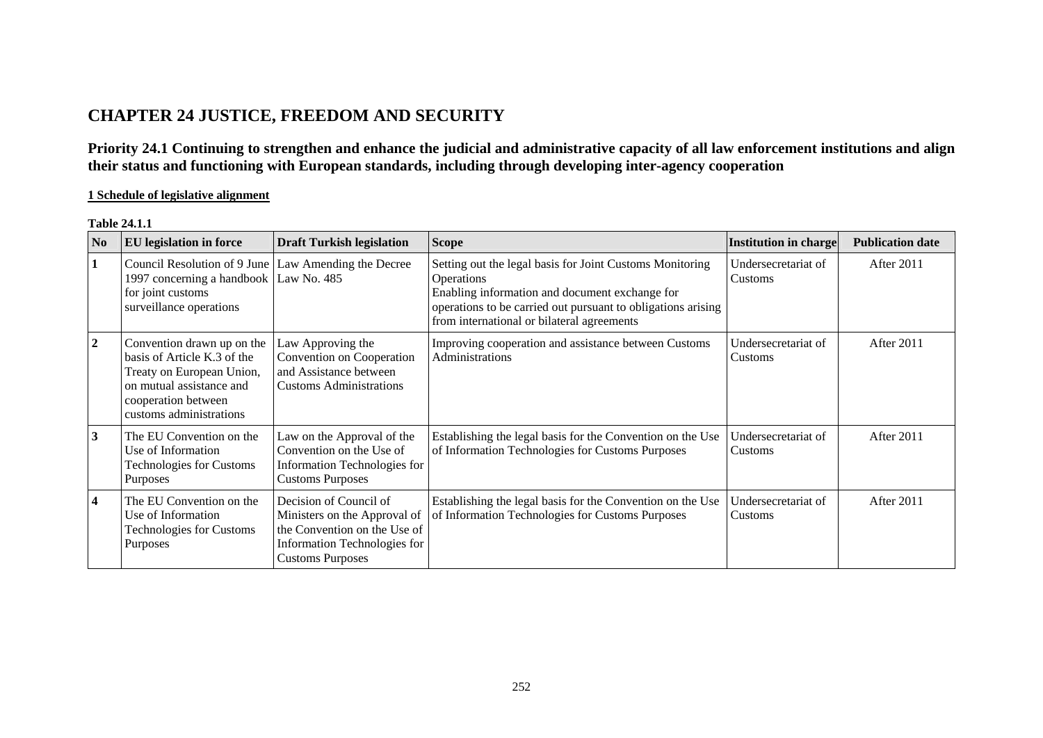# **CHAPTER 24 JUSTICE, FREEDOM AND SECURITY**

**Priority 24.1 Continuing to strengthen and enhance the judicial and administrative capacity of all law enforcement institutions and align their status and functioning with European standards, including through developing inter-agency cooperation** 

## **1 Schedule of legislative alignment**

#### **Table 24.1.1**

|              | N <sub>0</sub> | <b>EU</b> legislation in force                                                                                                                                       | <b>Draft Turkish legislation</b>                                                                                                                  | <b>Scope</b>                                                                                                                                                                                                                                  | Institution in charge          | <b>Publication date</b> |
|--------------|----------------|----------------------------------------------------------------------------------------------------------------------------------------------------------------------|---------------------------------------------------------------------------------------------------------------------------------------------------|-----------------------------------------------------------------------------------------------------------------------------------------------------------------------------------------------------------------------------------------------|--------------------------------|-------------------------|
|              |                | Council Resolution of 9 June<br>1997 concerning a handbook<br>for joint customs<br>surveillance operations                                                           | Law Amending the Decree<br>Law No. 485                                                                                                            | Setting out the legal basis for Joint Customs Monitoring<br><b>Operations</b><br>Enabling information and document exchange for<br>operations to be carried out pursuant to obligations arising<br>from international or bilateral agreements | Undersecretariat of<br>Customs | After 2011              |
| $\mathbf{2}$ |                | Convention drawn up on the<br>basis of Article K.3 of the<br>Treaty on European Union,<br>on mutual assistance and<br>cooperation between<br>customs administrations | Law Approving the<br>Convention on Cooperation<br>and Assistance between<br><b>Customs Administrations</b>                                        | Improving cooperation and assistance between Customs<br>Administrations                                                                                                                                                                       | Undersecretariat of<br>Customs | After 2011              |
| 3            |                | The EU Convention on the<br>Use of Information<br><b>Technologies for Customs</b><br>Purposes                                                                        | Law on the Approval of the<br>Convention on the Use of<br>Information Technologies for<br><b>Customs Purposes</b>                                 | Establishing the legal basis for the Convention on the Use<br>of Information Technologies for Customs Purposes                                                                                                                                | Undersecretariat of<br>Customs | After 2011              |
| 4            |                | The EU Convention on the<br>Use of Information<br><b>Technologies for Customs</b><br>Purposes                                                                        | Decision of Council of<br>Ministers on the Approval of<br>the Convention on the Use of<br>Information Technologies for<br><b>Customs Purposes</b> | Establishing the legal basis for the Convention on the Use<br>of Information Technologies for Customs Purposes                                                                                                                                | Undersecretariat of<br>Customs | After 2011              |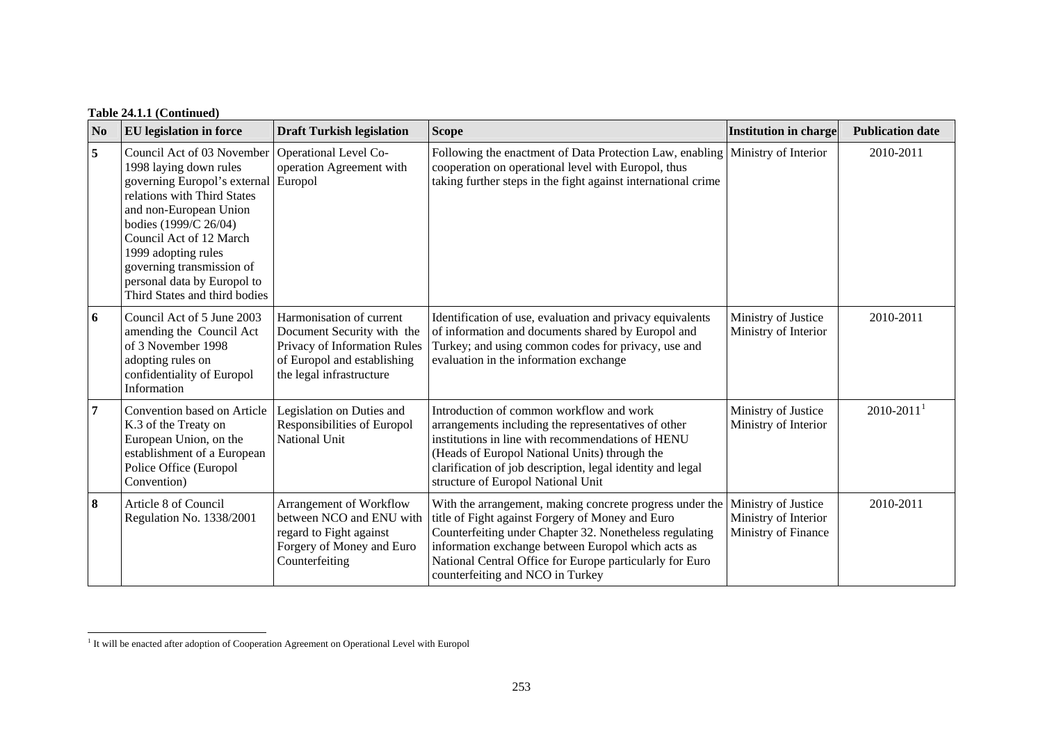| N <sub>0</sub> | <b>EU</b> legislation in force                                                                                                                                                                                                                                                                                        | <b>Draft Turkish legislation</b>                                                                                                                  | <b>Scope</b>                                                                                                                                                                                                                                                                                                                  | <b>Institution in charge</b>                                       | <b>Publication date</b>    |
|----------------|-----------------------------------------------------------------------------------------------------------------------------------------------------------------------------------------------------------------------------------------------------------------------------------------------------------------------|---------------------------------------------------------------------------------------------------------------------------------------------------|-------------------------------------------------------------------------------------------------------------------------------------------------------------------------------------------------------------------------------------------------------------------------------------------------------------------------------|--------------------------------------------------------------------|----------------------------|
| 5              | Council Act of 03 November<br>1998 laying down rules<br>governing Europol's external<br>relations with Third States<br>and non-European Union<br>bodies (1999/C 26/04)<br>Council Act of 12 March<br>1999 adopting rules<br>governing transmission of<br>personal data by Europol to<br>Third States and third bodies | Operational Level Co-<br>operation Agreement with<br>Europol                                                                                      | Following the enactment of Data Protection Law, enabling   Ministry of Interior<br>cooperation on operational level with Europol, thus<br>taking further steps in the fight against international crime                                                                                                                       |                                                                    | 2010-2011                  |
| 6              | Council Act of 5 June 2003<br>amending the Council Act<br>of 3 November 1998<br>adopting rules on<br>confidentiality of Europol<br>Information                                                                                                                                                                        | Harmonisation of current<br>Document Security with the<br>Privacy of Information Rules<br>of Europol and establishing<br>the legal infrastructure | Identification of use, evaluation and privacy equivalents<br>of information and documents shared by Europol and<br>Turkey; and using common codes for privacy, use and<br>evaluation in the information exchange                                                                                                              | Ministry of Justice<br>Ministry of Interior                        | 2010-2011                  |
| $\overline{7}$ | Convention based on Article<br>K.3 of the Treaty on<br>European Union, on the<br>establishment of a European<br>Police Office (Europol<br>Convention)                                                                                                                                                                 | Legislation on Duties and<br>Responsibilities of Europol<br>National Unit                                                                         | Introduction of common workflow and work<br>arrangements including the representatives of other<br>institutions in line with recommendations of HENU<br>(Heads of Europol National Units) through the<br>clarification of job description, legal identity and legal<br>structure of Europol National Unit                     | Ministry of Justice<br>Ministry of Interior                        | $2010 - 2011$ <sup>1</sup> |
| 8              | Article 8 of Council<br>Regulation No. 1338/2001                                                                                                                                                                                                                                                                      | Arrangement of Workflow<br>between NCO and ENU with<br>regard to Fight against<br>Forgery of Money and Euro<br>Counterfeiting                     | With the arrangement, making concrete progress under the<br>title of Fight against Forgery of Money and Euro<br>Counterfeiting under Chapter 32. Nonetheless regulating<br>information exchange between Europol which acts as<br>National Central Office for Europe particularly for Euro<br>counterfeiting and NCO in Turkey | Ministry of Justice<br>Ministry of Interior<br>Ministry of Finance | 2010-2011                  |

<span id="page-1-0"></span><sup>&</sup>lt;sup>1</sup> It will be enacted after adoption of Cooperation Agreement on Operational Level with Europol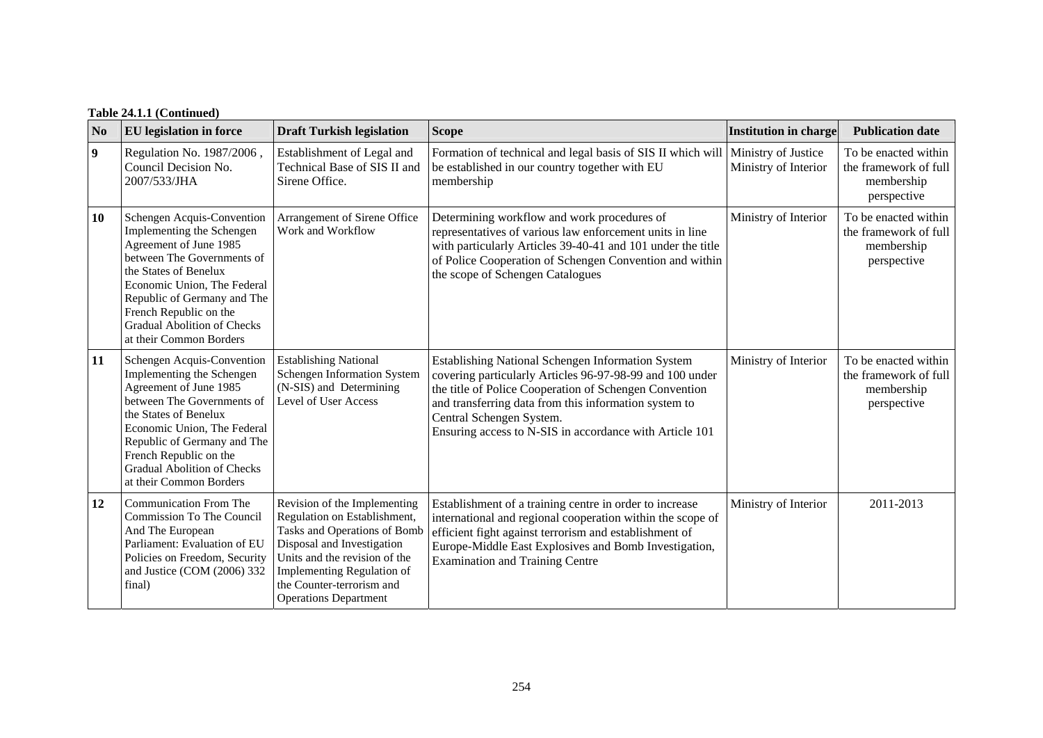# **Table 24.1.1 (Continued)**

| N <sub>0</sub>   | <b>EU</b> legislation in force                                                                                                                                                                                                                                                                    | <b>Draft Turkish legislation</b>                                                                                                                                                                                                                       | <b>Scope</b>                                                                                                                                                                                                                                                                                                            | <b>Institution in charge</b> | <b>Publication date</b>                                                    |
|------------------|---------------------------------------------------------------------------------------------------------------------------------------------------------------------------------------------------------------------------------------------------------------------------------------------------|--------------------------------------------------------------------------------------------------------------------------------------------------------------------------------------------------------------------------------------------------------|-------------------------------------------------------------------------------------------------------------------------------------------------------------------------------------------------------------------------------------------------------------------------------------------------------------------------|------------------------------|----------------------------------------------------------------------------|
| $\boldsymbol{9}$ | Regulation No. 1987/2006,<br>Council Decision No.<br>2007/533/JHA                                                                                                                                                                                                                                 | Establishment of Legal and<br>Technical Base of SIS II and<br>Sirene Office.                                                                                                                                                                           | Formation of technical and legal basis of SIS II which will Ministry of Justice<br>be established in our country together with EU<br>membership                                                                                                                                                                         | Ministry of Interior         | To be enacted within<br>the framework of full<br>membership<br>perspective |
| 10               | Schengen Acquis-Convention<br>Implementing the Schengen<br>Agreement of June 1985<br>between The Governments of<br>the States of Benelux<br>Economic Union, The Federal<br>Republic of Germany and The<br>French Republic on the<br><b>Gradual Abolition of Checks</b><br>at their Common Borders | Arrangement of Sirene Office<br>Work and Workflow                                                                                                                                                                                                      | Determining workflow and work procedures of<br>representatives of various law enforcement units in line<br>with particularly Articles 39-40-41 and 101 under the title<br>of Police Cooperation of Schengen Convention and within<br>the scope of Schengen Catalogues                                                   | Ministry of Interior         | To be enacted within<br>the framework of full<br>membership<br>perspective |
| 11               | Schengen Acquis-Convention<br>Implementing the Schengen<br>Agreement of June 1985<br>between The Governments of<br>the States of Benelux<br>Economic Union, The Federal<br>Republic of Germany and The<br>French Republic on the<br><b>Gradual Abolition of Checks</b><br>at their Common Borders | <b>Establishing National</b><br>Schengen Information System<br>(N-SIS) and Determining<br>Level of User Access                                                                                                                                         | Establishing National Schengen Information System<br>covering particularly Articles 96-97-98-99 and 100 under<br>the title of Police Cooperation of Schengen Convention<br>and transferring data from this information system to<br>Central Schengen System.<br>Ensuring access to N-SIS in accordance with Article 101 | Ministry of Interior         | To be enacted within<br>the framework of full<br>membership<br>perspective |
| 12               | Communication From The<br>Commission To The Council<br>And The European<br>Parliament: Evaluation of EU<br>Policies on Freedom, Security<br>and Justice (COM (2006) 332<br>final)                                                                                                                 | Revision of the Implementing<br>Regulation on Establishment,<br>Tasks and Operations of Bomb<br>Disposal and Investigation<br>Units and the revision of the<br>Implementing Regulation of<br>the Counter-terrorism and<br><b>Operations Department</b> | Establishment of a training centre in order to increase<br>international and regional cooperation within the scope of<br>efficient fight against terrorism and establishment of<br>Europe-Middle East Explosives and Bomb Investigation,<br><b>Examination and Training Centre</b>                                      | Ministry of Interior         | 2011-2013                                                                  |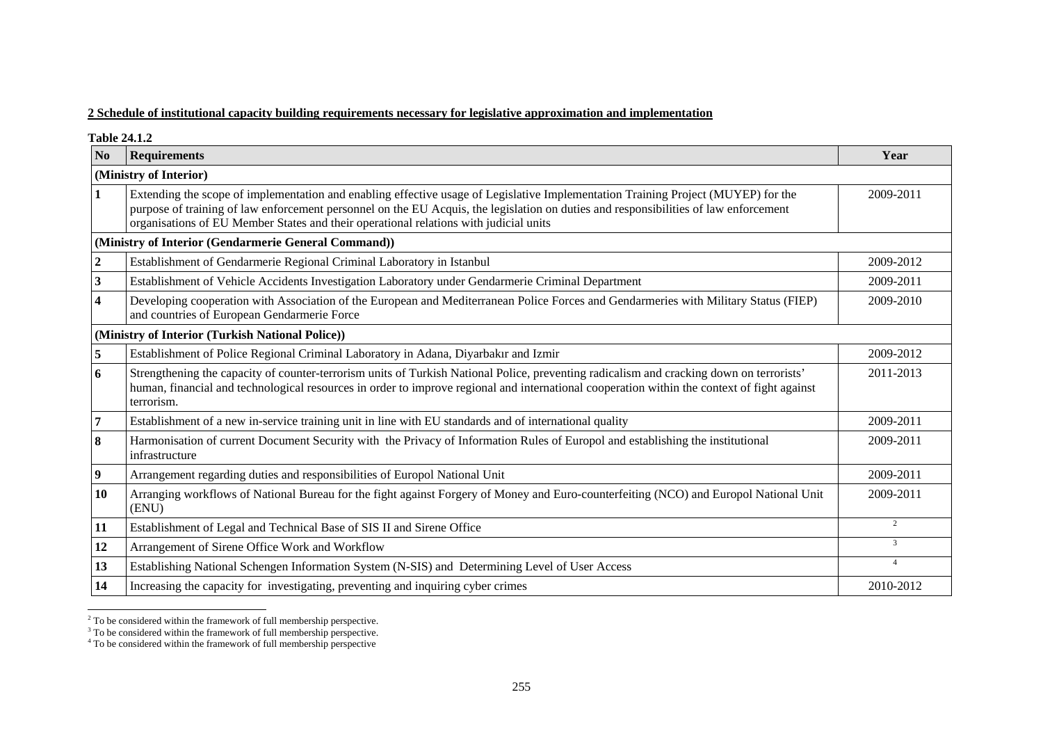## **2 Schedule of institutional capacity building requirements necessary for legislative approximation and implementation**

**Table 24.1.2** 

| N <sub>0</sub>   | <b>Requirements</b>                                                                                                                                                                                                                                                                                                                                                | Year           |  |  |  |  |  |
|------------------|--------------------------------------------------------------------------------------------------------------------------------------------------------------------------------------------------------------------------------------------------------------------------------------------------------------------------------------------------------------------|----------------|--|--|--|--|--|
|                  | (Ministry of Interior)                                                                                                                                                                                                                                                                                                                                             |                |  |  |  |  |  |
| 1                | Extending the scope of implementation and enabling effective usage of Legislative Implementation Training Project (MUYEP) for the<br>purpose of training of law enforcement personnel on the EU Acquis, the legislation on duties and responsibilities of law enforcement<br>organisations of EU Member States and their operational relations with judicial units |                |  |  |  |  |  |
|                  | (Ministry of Interior (Gendarmerie General Command))                                                                                                                                                                                                                                                                                                               |                |  |  |  |  |  |
| $\boldsymbol{2}$ | Establishment of Gendarmerie Regional Criminal Laboratory in Istanbul                                                                                                                                                                                                                                                                                              | 2009-2012      |  |  |  |  |  |
| 3                | Establishment of Vehicle Accidents Investigation Laboratory under Gendarmerie Criminal Department                                                                                                                                                                                                                                                                  | 2009-2011      |  |  |  |  |  |
| 4                | Developing cooperation with Association of the European and Mediterranean Police Forces and Gendarmeries with Military Status (FIEP)<br>and countries of European Gendarmerie Force                                                                                                                                                                                | 2009-2010      |  |  |  |  |  |
|                  | (Ministry of Interior (Turkish National Police))                                                                                                                                                                                                                                                                                                                   |                |  |  |  |  |  |
| 5                | Establishment of Police Regional Criminal Laboratory in Adana, Diyarbakır and Izmir                                                                                                                                                                                                                                                                                | 2009-2012      |  |  |  |  |  |
| 6                | Strengthening the capacity of counter-terrorism units of Turkish National Police, preventing radicalism and cracking down on terrorists'<br>human, financial and technological resources in order to improve regional and international cooperation within the context of fight against<br>terrorism.                                                              | 2011-2013      |  |  |  |  |  |
| $\overline{7}$   | Establishment of a new in-service training unit in line with EU standards and of international quality                                                                                                                                                                                                                                                             | 2009-2011      |  |  |  |  |  |
| 8                | Harmonisation of current Document Security with the Privacy of Information Rules of Europol and establishing the institutional<br>infrastructure                                                                                                                                                                                                                   | 2009-2011      |  |  |  |  |  |
| 9                | Arrangement regarding duties and responsibilities of Europol National Unit                                                                                                                                                                                                                                                                                         | 2009-2011      |  |  |  |  |  |
| 10               | Arranging workflows of National Bureau for the fight against Forgery of Money and Euro-counterfeiting (NCO) and Europol National Unit<br>(ENU)                                                                                                                                                                                                                     | 2009-2011      |  |  |  |  |  |
| 11               | Establishment of Legal and Technical Base of SIS II and Sirene Office                                                                                                                                                                                                                                                                                              | 2              |  |  |  |  |  |
| 12               | Arrangement of Sirene Office Work and Workflow                                                                                                                                                                                                                                                                                                                     | $\overline{3}$ |  |  |  |  |  |
| 13               | Establishing National Schengen Information System (N-SIS) and Determining Level of User Access                                                                                                                                                                                                                                                                     | $\overline{4}$ |  |  |  |  |  |
| 14               | Increasing the capacity for investigating, preventing and inquiring cyber crimes                                                                                                                                                                                                                                                                                   | 2010-2012      |  |  |  |  |  |

<span id="page-3-0"></span> $2^2$  To be considered within the framework of full membership perspective.

<span id="page-3-1"></span> $3$  To be considered within the framework of full membership perspective.

<span id="page-3-2"></span><sup>&</sup>lt;sup>4</sup> To be considered within the framework of full membership perspective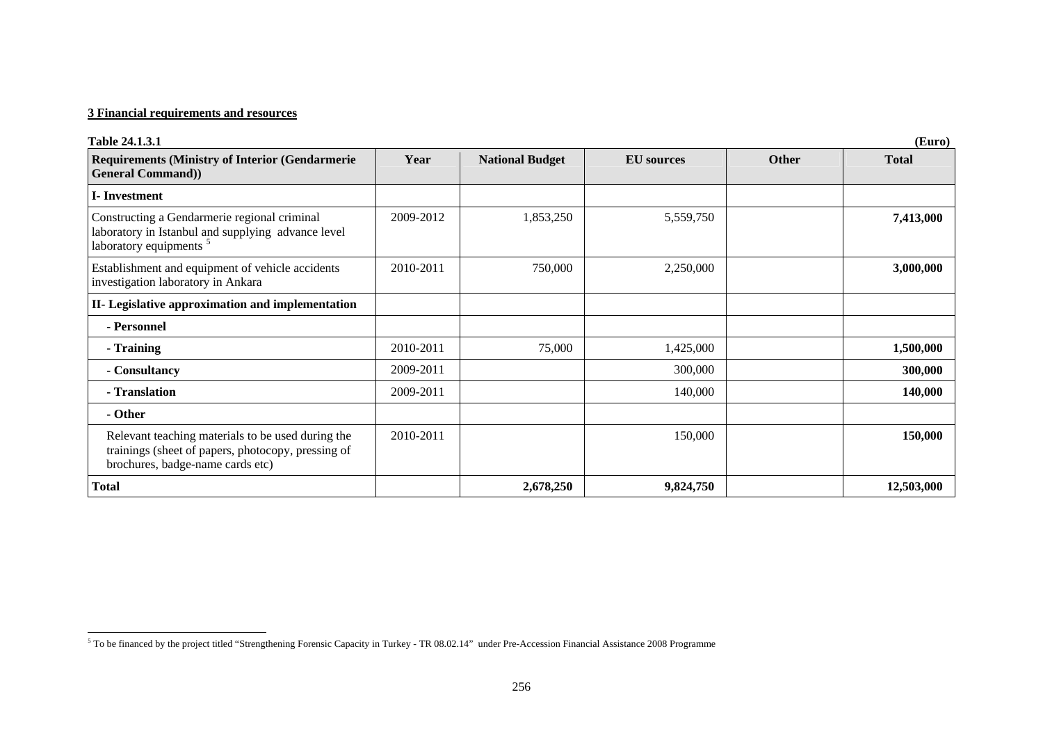| Table 24.1.3.1                                                                                                                              |           |                        |                   |              | (Euro)       |
|---------------------------------------------------------------------------------------------------------------------------------------------|-----------|------------------------|-------------------|--------------|--------------|
| <b>Requirements (Ministry of Interior (Gendarmerie)</b><br><b>General Command)</b>                                                          | Year      | <b>National Budget</b> | <b>EU</b> sources | <b>Other</b> | <b>Total</b> |
| <b>I</b> -Investment                                                                                                                        |           |                        |                   |              |              |
| Constructing a Gendarmerie regional criminal<br>laboratory in Istanbul and supplying advance level<br>laboratory equipments <sup>5</sup>    | 2009-2012 | 1,853,250              | 5,559,750         |              | 7,413,000    |
| Establishment and equipment of vehicle accidents<br>investigation laboratory in Ankara                                                      | 2010-2011 | 750,000                | 2,250,000         |              | 3,000,000    |
| II- Legislative approximation and implementation                                                                                            |           |                        |                   |              |              |
| - Personnel                                                                                                                                 |           |                        |                   |              |              |
| - Training                                                                                                                                  | 2010-2011 | 75,000                 | 1,425,000         |              | 1,500,000    |
| - Consultancy                                                                                                                               | 2009-2011 |                        | 300,000           |              | 300,000      |
| - Translation                                                                                                                               | 2009-2011 |                        | 140,000           |              | 140,000      |
| - Other                                                                                                                                     |           |                        |                   |              |              |
| Relevant teaching materials to be used during the<br>trainings (sheet of papers, photocopy, pressing of<br>brochures, badge-name cards etc) | 2010-2011 |                        | 150,000           |              | 150,000      |
| <b>Total</b>                                                                                                                                |           | 2,678,250              | 9,824,750         |              | 12,503,000   |

<span id="page-4-0"></span><sup>5</sup> To be financed by the project titled "Strengthening Forensic Capacity in Turkey - TR 08.02.14" under Pre-Accession Financial Assistance 2008 Programme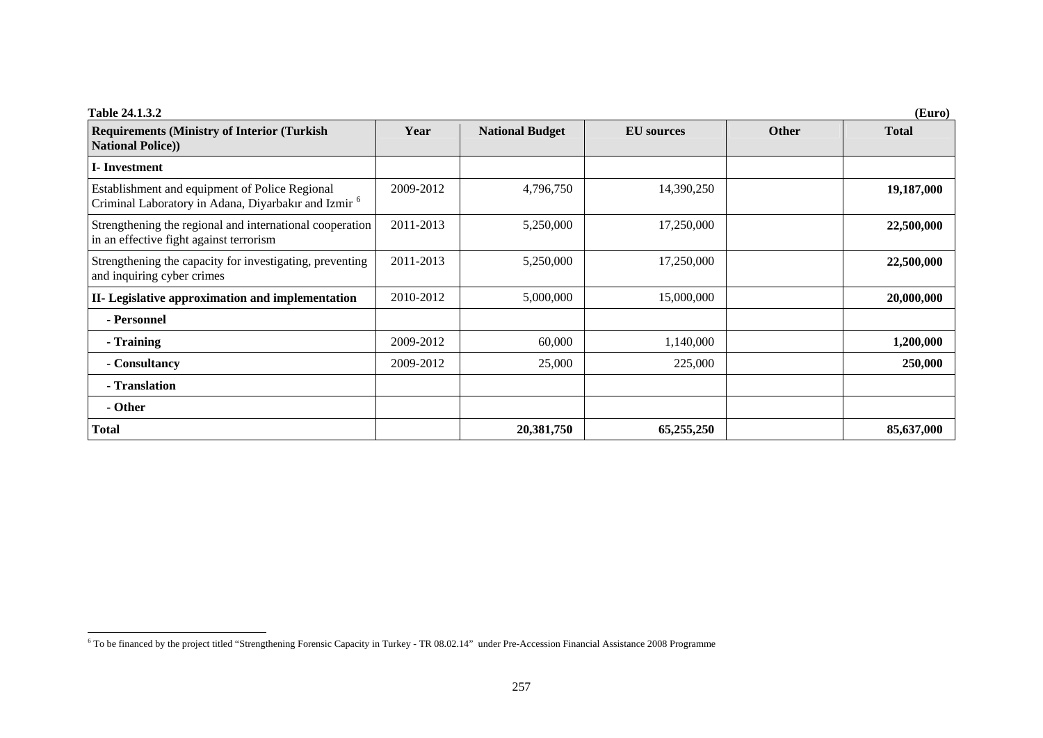<span id="page-5-0"></span>

| <b>Table 24.1.3.2</b><br>(Euro)                                                                                   |           |                        |                   |              |              |  |  |
|-------------------------------------------------------------------------------------------------------------------|-----------|------------------------|-------------------|--------------|--------------|--|--|
| <b>Requirements (Ministry of Interior (Turkish)</b><br><b>National Police))</b>                                   | Year      | <b>National Budget</b> | <b>EU</b> sources | <b>Other</b> | <b>Total</b> |  |  |
| <b>I</b> -Investment                                                                                              |           |                        |                   |              |              |  |  |
| Establishment and equipment of Police Regional<br>Criminal Laboratory in Adana, Diyarbakır and Izmir <sup>6</sup> | 2009-2012 | 4,796,750              | 14,390,250        |              | 19,187,000   |  |  |
| Strengthening the regional and international cooperation<br>in an effective fight against terrorism               | 2011-2013 | 5,250,000              | 17,250,000        |              | 22,500,000   |  |  |
| Strengthening the capacity for investigating, preventing<br>and inquiring cyber crimes                            | 2011-2013 | 5,250,000              | 17,250,000        |              | 22,500,000   |  |  |
| II- Legislative approximation and implementation                                                                  | 2010-2012 | 5,000,000              | 15,000,000        |              | 20,000,000   |  |  |
| - Personnel                                                                                                       |           |                        |                   |              |              |  |  |
| - Training                                                                                                        | 2009-2012 | 60,000                 | 1,140,000         |              | 1,200,000    |  |  |
| - Consultancy                                                                                                     | 2009-2012 | 25,000                 | 225,000           |              | 250,000      |  |  |
| - Translation                                                                                                     |           |                        |                   |              |              |  |  |
| - Other                                                                                                           |           |                        |                   |              |              |  |  |
| <b>Total</b>                                                                                                      |           | 20,381,750             | 65,255,250        |              | 85,637,000   |  |  |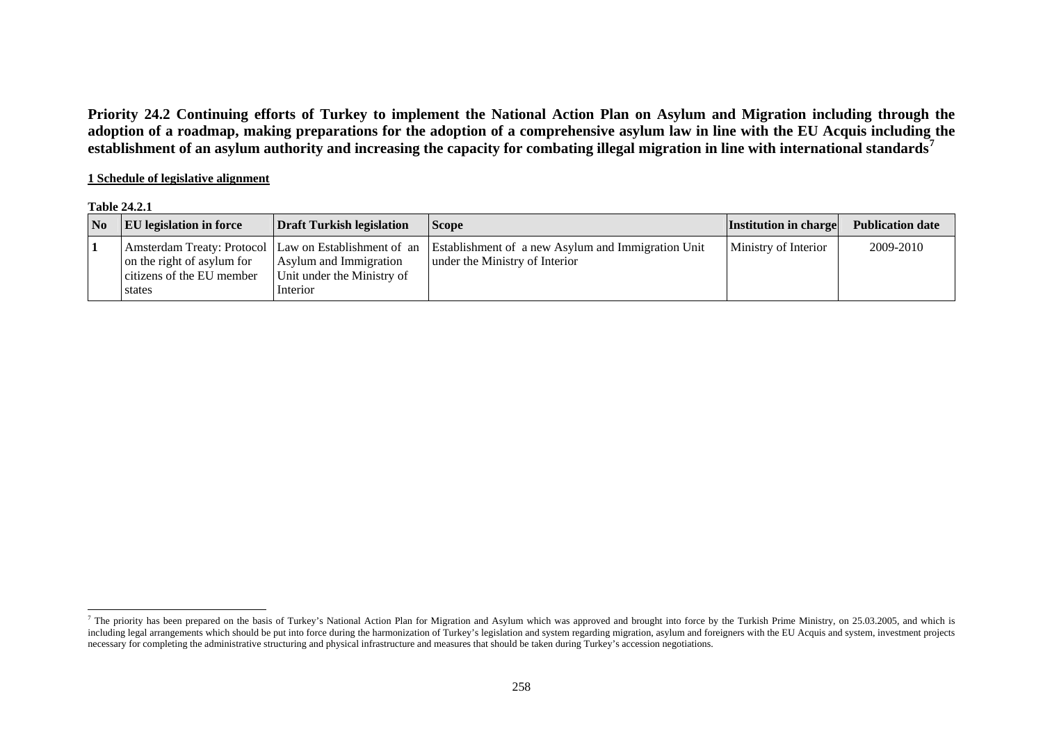**Priority 24.2 Continuing efforts of Turkey to implement the National Action Plan on Asylum and Migration including through the adoption of a roadmap, making preparations for the adoption of a comprehensive asylum law in line with the EU Acquis including the establishment of an asylum authority and increasing the capacity for combating illegal migration in line with international standards[7](#page-6-0)**

## **1 Schedule of legislative alignment**

#### **Table 24.2.1**

| $\overline{\mathbf{N}}$ | <b>EU</b> legislation in force                                    | Draft Turkish legislation                                        | <b>Scope</b>                                                                                                                               | <b>Institution in charge</b> | <b>Publication date</b> |
|-------------------------|-------------------------------------------------------------------|------------------------------------------------------------------|--------------------------------------------------------------------------------------------------------------------------------------------|------------------------------|-------------------------|
|                         | on the right of asylum for<br>citizens of the EU member<br>states | Asylum and Immigration<br>Unit under the Ministry of<br>Interior | Amsterdam Treaty: Protocol Law on Establishment of an Establishment of a new Asylum and Immigration Unit<br>under the Ministry of Interior | Ministry of Interior         | 2009-2010               |

<span id="page-6-0"></span><sup>&</sup>lt;sup>7</sup> The priority has been prepared on the basis of Turkey's National Action Plan for Migration and Asylum which was approved and brought into force by the Turkish Prime Ministry, on 25.03.2005, and which is including legal arrangements which should be put into force during the harmonization of Turkey's legislation and system regarding migration, asylum and foreigners with the EU Acquis and system, investment projects necessary for completing the administrative structuring and physical infrastructure and measures that should be taken during Turkey's accession negotiations.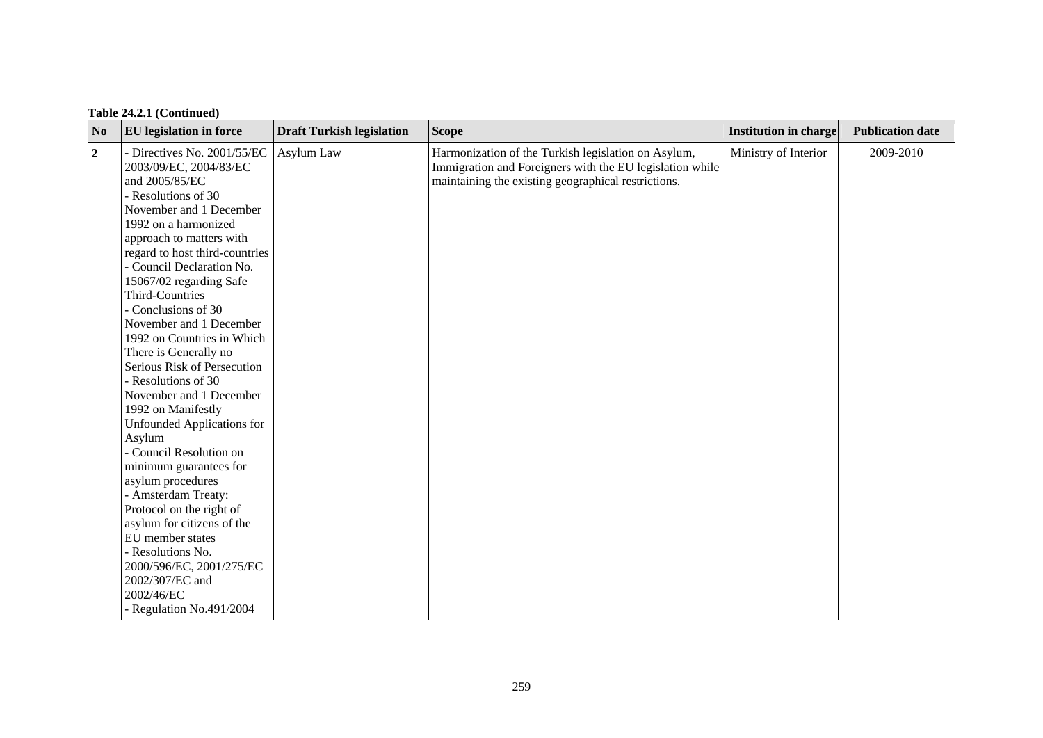| N <sub>0</sub>   | <b>EU</b> legislation in force                                                                                                                                                                                                                                                                                                                                                                                                                                                                                                                                                                                                                                                                                                                                                                                      | <b>Draft Turkish legislation</b> | <b>Scope</b>                                                                                                                                                           | <b>Institution in charge</b> | <b>Publication date</b> |
|------------------|---------------------------------------------------------------------------------------------------------------------------------------------------------------------------------------------------------------------------------------------------------------------------------------------------------------------------------------------------------------------------------------------------------------------------------------------------------------------------------------------------------------------------------------------------------------------------------------------------------------------------------------------------------------------------------------------------------------------------------------------------------------------------------------------------------------------|----------------------------------|------------------------------------------------------------------------------------------------------------------------------------------------------------------------|------------------------------|-------------------------|
| $\boldsymbol{2}$ | - Directives No. 2001/55/EC<br>2003/09/EC, 2004/83/EC<br>and 2005/85/EC<br>- Resolutions of 30<br>November and 1 December<br>1992 on a harmonized<br>approach to matters with<br>regard to host third-countries<br>- Council Declaration No.<br>15067/02 regarding Safe<br><b>Third-Countries</b><br>- Conclusions of 30<br>November and 1 December<br>1992 on Countries in Which<br>There is Generally no<br>Serious Risk of Persecution<br>- Resolutions of 30<br>November and 1 December<br>1992 on Manifestly<br><b>Unfounded Applications for</b><br>Asylum<br>- Council Resolution on<br>minimum guarantees for<br>asylum procedures<br>- Amsterdam Treaty:<br>Protocol on the right of<br>asylum for citizens of the<br>EU member states<br>- Resolutions No.<br>2000/596/EC, 2001/275/EC<br>2002/307/EC and | Asylum Law                       | Harmonization of the Turkish legislation on Asylum,<br>Immigration and Foreigners with the EU legislation while<br>maintaining the existing geographical restrictions. | Ministry of Interior         | 2009-2010               |
|                  | 2002/46/EC<br>- Regulation No.491/2004                                                                                                                                                                                                                                                                                                                                                                                                                                                                                                                                                                                                                                                                                                                                                                              |                                  |                                                                                                                                                                        |                              |                         |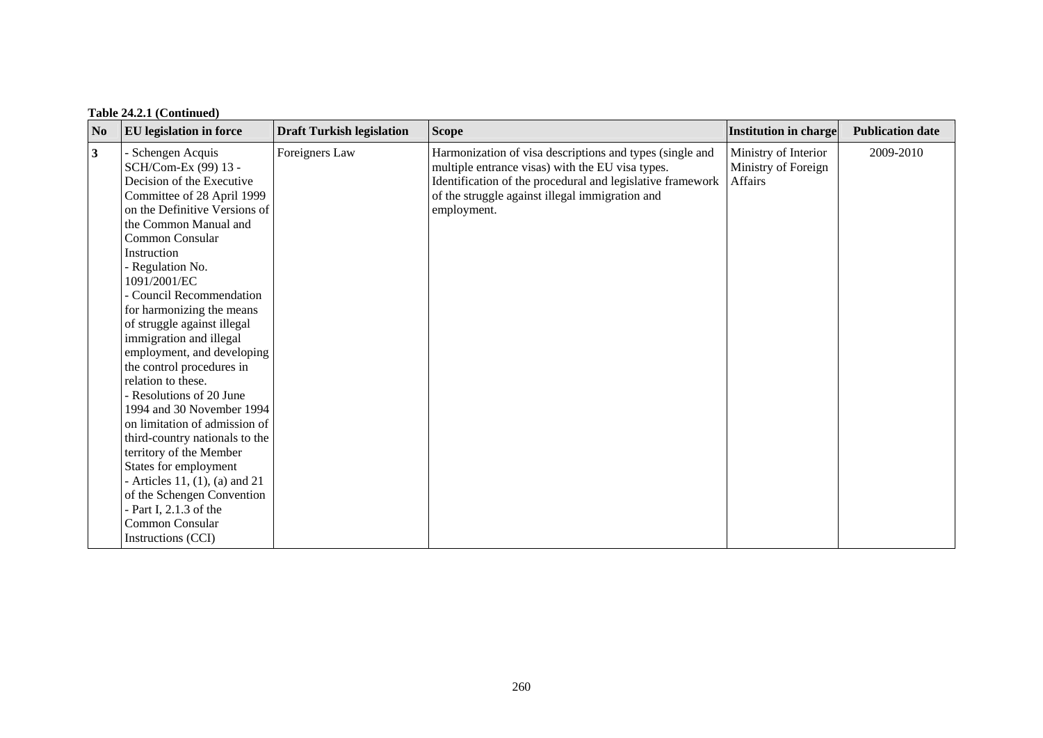| No           | <b>EU</b> legislation in force                                                                                                                                                                                                                                                                                                                                                                                                                                                                                                                                                                                                                                                              | <b>Draft Turkish legislation</b> | <b>Scope</b>                                                                                                                                                                                                                                 | Institution in charge                                  | <b>Publication date</b> |
|--------------|---------------------------------------------------------------------------------------------------------------------------------------------------------------------------------------------------------------------------------------------------------------------------------------------------------------------------------------------------------------------------------------------------------------------------------------------------------------------------------------------------------------------------------------------------------------------------------------------------------------------------------------------------------------------------------------------|----------------------------------|----------------------------------------------------------------------------------------------------------------------------------------------------------------------------------------------------------------------------------------------|--------------------------------------------------------|-------------------------|
| $\mathbf{3}$ | Schengen Acquis<br>SCH/Com-Ex (99) 13 -<br>Decision of the Executive<br>Committee of 28 April 1999<br>on the Definitive Versions of<br>the Common Manual and<br>Common Consular<br>Instruction<br>- Regulation No.<br>1091/2001/EC<br>- Council Recommendation<br>for harmonizing the means<br>of struggle against illegal<br>immigration and illegal<br>employment, and developing<br>the control procedures in<br>relation to these.<br>- Resolutions of 20 June<br>1994 and 30 November 1994<br>on limitation of admission of<br>third-country nationals to the<br>territory of the Member<br>States for employment<br>- Articles 11, $(1)$ , $(a)$ and 21<br>of the Schengen Convention | Foreigners Law                   | Harmonization of visa descriptions and types (single and<br>multiple entrance visas) with the EU visa types.<br>Identification of the procedural and legislative framework<br>of the struggle against illegal immigration and<br>employment. | Ministry of Interior<br>Ministry of Foreign<br>Affairs | 2009-2010               |
|              | - Part I, $2.1.3$ of the<br>Common Consular<br>Instructions (CCI)                                                                                                                                                                                                                                                                                                                                                                                                                                                                                                                                                                                                                           |                                  |                                                                                                                                                                                                                                              |                                                        |                         |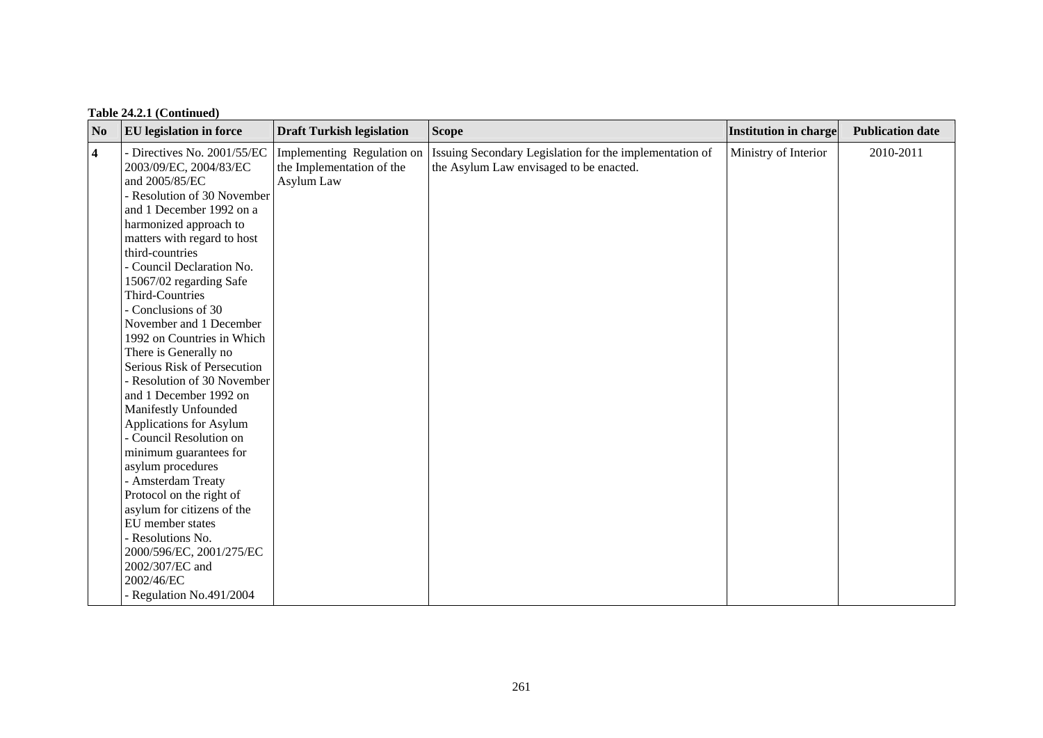| Table 24.2.1 (Continued) |  |
|--------------------------|--|
|--------------------------|--|

| N <sub>0</sub>          | <b>EU</b> legislation in force                                                                                                                                                                                                                                                                                                                                                                                                                                                                                                                                                                                                                                                   | <b>Draft Turkish legislation</b>                                      | <b>Scope</b>                                                                                       | <b>Institution in charge</b> | <b>Publication date</b> |
|-------------------------|----------------------------------------------------------------------------------------------------------------------------------------------------------------------------------------------------------------------------------------------------------------------------------------------------------------------------------------------------------------------------------------------------------------------------------------------------------------------------------------------------------------------------------------------------------------------------------------------------------------------------------------------------------------------------------|-----------------------------------------------------------------------|----------------------------------------------------------------------------------------------------|------------------------------|-------------------------|
| $\overline{\mathbf{4}}$ | - Directives No. 2001/55/EC<br>2003/09/EC, 2004/83/EC<br>and 2005/85/EC<br>- Resolution of 30 November<br>and 1 December 1992 on a<br>harmonized approach to<br>matters with regard to host<br>third-countries<br>- Council Declaration No.<br>15067/02 regarding Safe<br><b>Third-Countries</b><br>- Conclusions of 30<br>November and 1 December<br>1992 on Countries in Which<br>There is Generally no<br>Serious Risk of Persecution<br>- Resolution of 30 November<br>and 1 December 1992 on<br>Manifestly Unfounded<br>Applications for Asylum<br>- Council Resolution on<br>minimum guarantees for<br>asylum procedures<br>- Amsterdam Treaty<br>Protocol on the right of | Implementing Regulation on<br>the Implementation of the<br>Asylum Law | Issuing Secondary Legislation for the implementation of<br>the Asylum Law envisaged to be enacted. | Ministry of Interior         | 2010-2011               |
|                         | asylum for citizens of the<br>EU member states<br>- Resolutions No.<br>2000/596/EC, 2001/275/EC<br>2002/307/EC and<br>2002/46/EC<br>Regulation No.491/2004                                                                                                                                                                                                                                                                                                                                                                                                                                                                                                                       |                                                                       |                                                                                                    |                              |                         |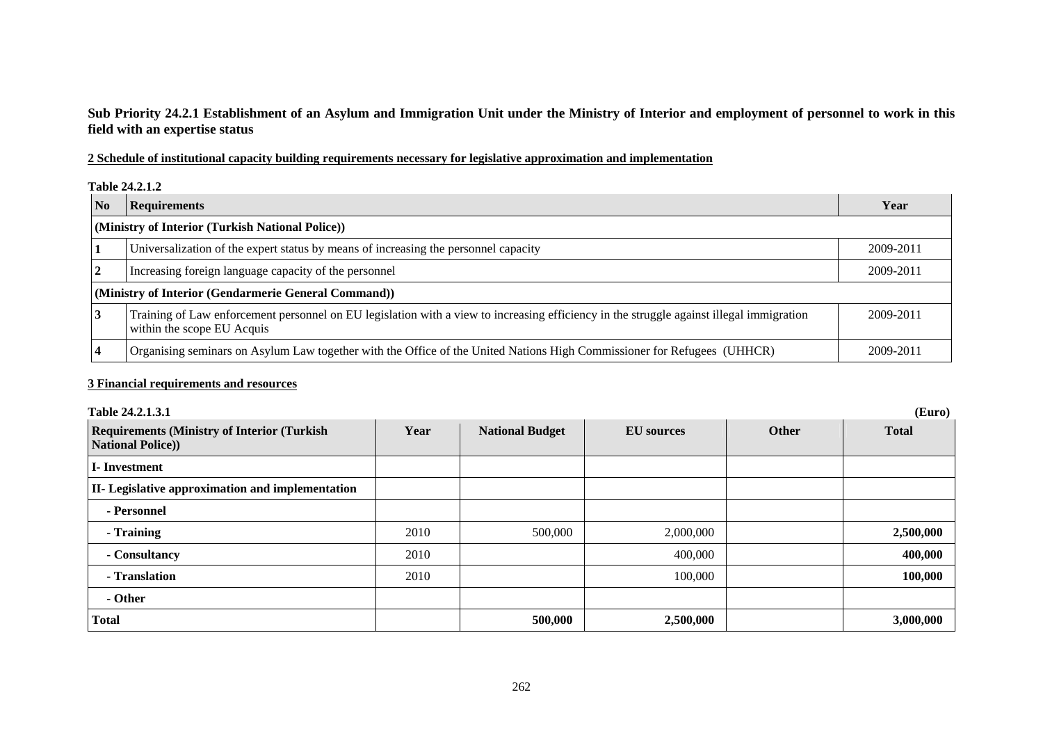## **Sub Priority 24.2.1 Establishment of an Asylum and Immigration Unit under the Ministry of Interior and employment of personnel to work in this field with an expertise status**

## **2 Schedule of institutional capacity building requirements necessary for legislative approximation and implementation**

#### **Table 24.2.1.2**

| N <sub>0</sub> | <b>Requirements</b>                                                                                                                                                    | Year      |
|----------------|------------------------------------------------------------------------------------------------------------------------------------------------------------------------|-----------|
|                | (Ministry of Interior (Turkish National Police))                                                                                                                       |           |
|                | Universalization of the expert status by means of increasing the personnel capacity                                                                                    | 2009-2011 |
|                | Increasing foreign language capacity of the personnel                                                                                                                  | 2009-2011 |
|                | (Ministry of Interior (Gendarmerie General Command))                                                                                                                   |           |
|                | Training of Law enforcement personnel on EU legislation with a view to increasing efficiency in the struggle against illegal immigration<br>within the scope EU Acquis | 2009-2011 |
|                | Organising seminars on Asylum Law together with the Office of the United Nations High Commissioner for Refugees (UHHCR)                                                | 2009-2011 |

| Table 24.2.1.3.1                                                               |      |                        |                   |              | (Euro)       |
|--------------------------------------------------------------------------------|------|------------------------|-------------------|--------------|--------------|
| <b>Requirements (Ministry of Interior (Turkish)</b><br><b>National Police)</b> | Year | <b>National Budget</b> | <b>EU</b> sources | <b>Other</b> | <b>Total</b> |
| I-Investment                                                                   |      |                        |                   |              |              |
| II- Legislative approximation and implementation                               |      |                        |                   |              |              |
| - Personnel                                                                    |      |                        |                   |              |              |
| - Training                                                                     | 2010 | 500,000                | 2,000,000         |              | 2,500,000    |
| - Consultancy                                                                  | 2010 |                        | 400,000           |              | 400,000      |
| - Translation                                                                  | 2010 |                        | 100,000           |              | 100,000      |
| - Other                                                                        |      |                        |                   |              |              |
| <b>Total</b>                                                                   |      | 500,000                | 2,500,000         |              | 3,000,000    |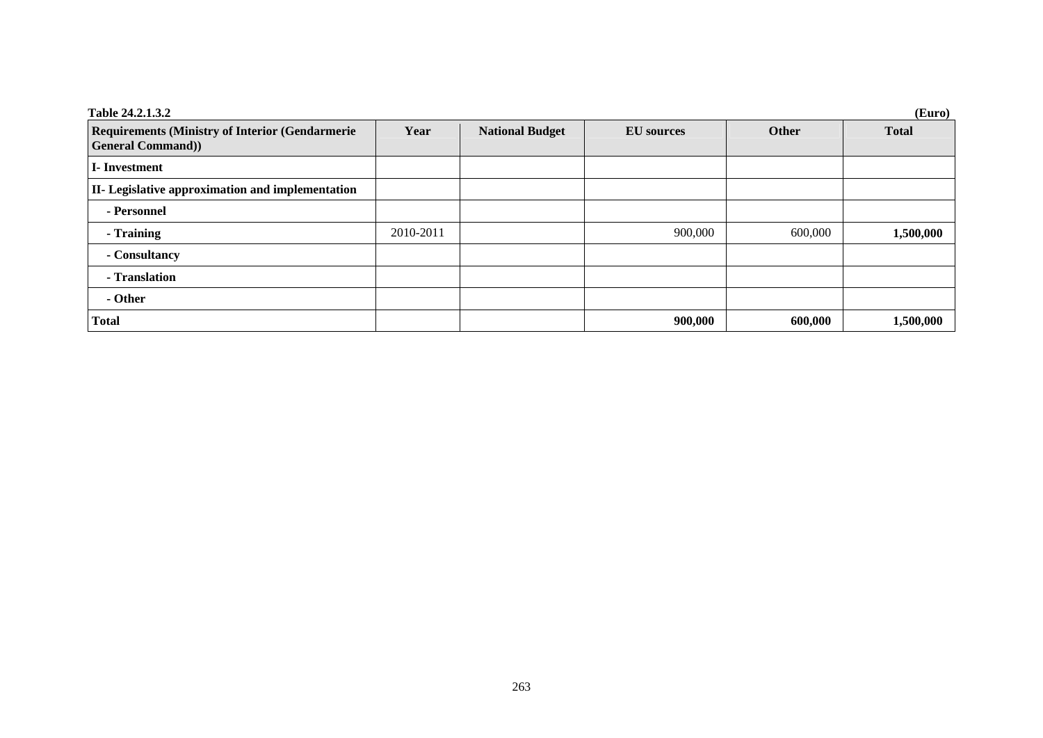| Table 24.2.1.3.2                                                                   |           |                        |                   |         | (Euro)       |
|------------------------------------------------------------------------------------|-----------|------------------------|-------------------|---------|--------------|
| <b>Requirements (Ministry of Interior (Gendarmerie)</b><br><b>General Command)</b> | Year      | <b>National Budget</b> | <b>EU</b> sources | Other   | <b>Total</b> |
| <b>I</b> -Investment                                                               |           |                        |                   |         |              |
| II- Legislative approximation and implementation                                   |           |                        |                   |         |              |
| - Personnel                                                                        |           |                        |                   |         |              |
| - Training                                                                         | 2010-2011 |                        | 900,000           | 600,000 | 1,500,000    |
| - Consultancy                                                                      |           |                        |                   |         |              |
| - Translation                                                                      |           |                        |                   |         |              |
| - Other                                                                            |           |                        |                   |         |              |
| <b>Total</b>                                                                       |           |                        | 900,000           | 600,000 | 1,500,000    |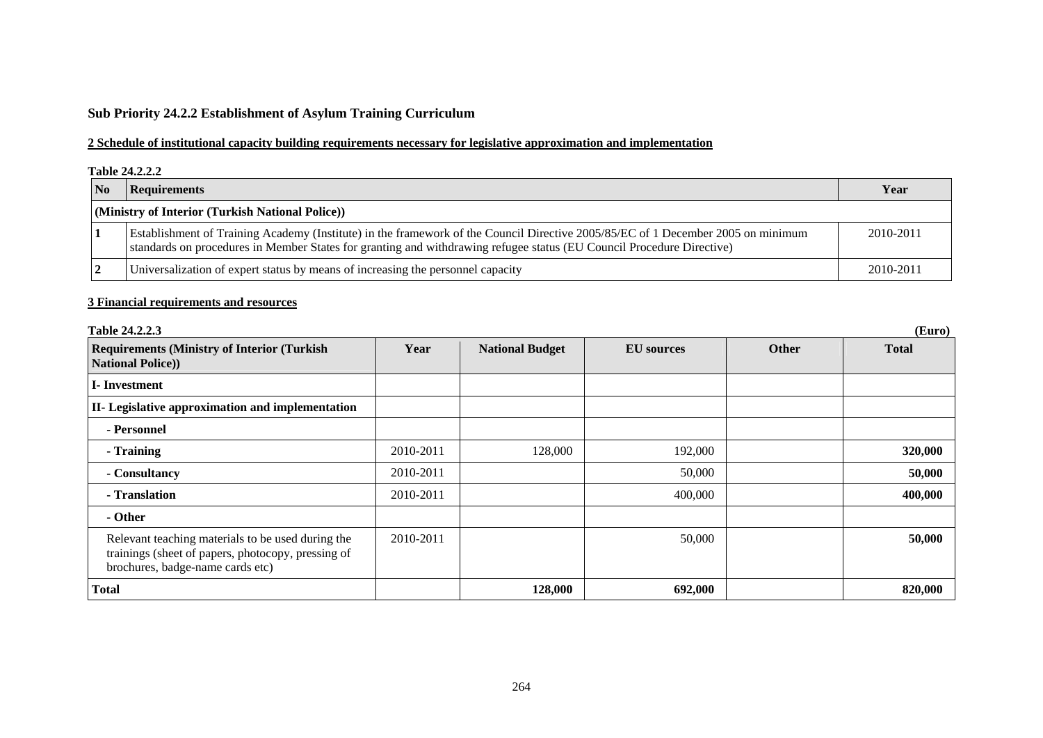# **Sub Priority 24.2.2 Establishment of Asylum Training Curriculum**

## **2 Schedule of institutional capacity building requirements necessary for legislative approximation and implementation**

#### **Table 24.2.2.2**

| $\overline{\mathbf{N}}$ | Requirements                                                                                                                                                                                                                                              | Year      |
|-------------------------|-----------------------------------------------------------------------------------------------------------------------------------------------------------------------------------------------------------------------------------------------------------|-----------|
|                         | (Ministry of Interior (Turkish National Police))                                                                                                                                                                                                          |           |
|                         | Establishment of Training Academy (Institute) in the framework of the Council Directive 2005/85/EC of 1 December 2005 on minimum<br>standards on procedures in Member States for granting and withdrawing refugee status (EU Council Procedure Directive) | 2010-2011 |
|                         | Universalization of expert status by means of increasing the personnel capacity                                                                                                                                                                           | 2010-2011 |

| Table 24.2.2.3                                                                                                                              | (Euro)    |                        |                   |              |              |  |
|---------------------------------------------------------------------------------------------------------------------------------------------|-----------|------------------------|-------------------|--------------|--------------|--|
| <b>Requirements (Ministry of Interior (Turkish)</b><br><b>National Police)</b>                                                              | Year      | <b>National Budget</b> | <b>EU</b> sources | <b>Other</b> | <b>Total</b> |  |
| <b>I</b> -Investment                                                                                                                        |           |                        |                   |              |              |  |
| II- Legislative approximation and implementation                                                                                            |           |                        |                   |              |              |  |
| - Personnel                                                                                                                                 |           |                        |                   |              |              |  |
| - Training                                                                                                                                  | 2010-2011 | 128,000                | 192,000           |              | 320,000      |  |
| - Consultancy                                                                                                                               | 2010-2011 |                        | 50,000            |              | 50,000       |  |
| - Translation                                                                                                                               | 2010-2011 |                        | 400,000           |              | 400,000      |  |
| - Other                                                                                                                                     |           |                        |                   |              |              |  |
| Relevant teaching materials to be used during the<br>trainings (sheet of papers, photocopy, pressing of<br>brochures, badge-name cards etc) | 2010-2011 |                        | 50,000            |              | 50,000       |  |
| <b>Total</b>                                                                                                                                |           | 128,000                | 692,000           |              | 820,000      |  |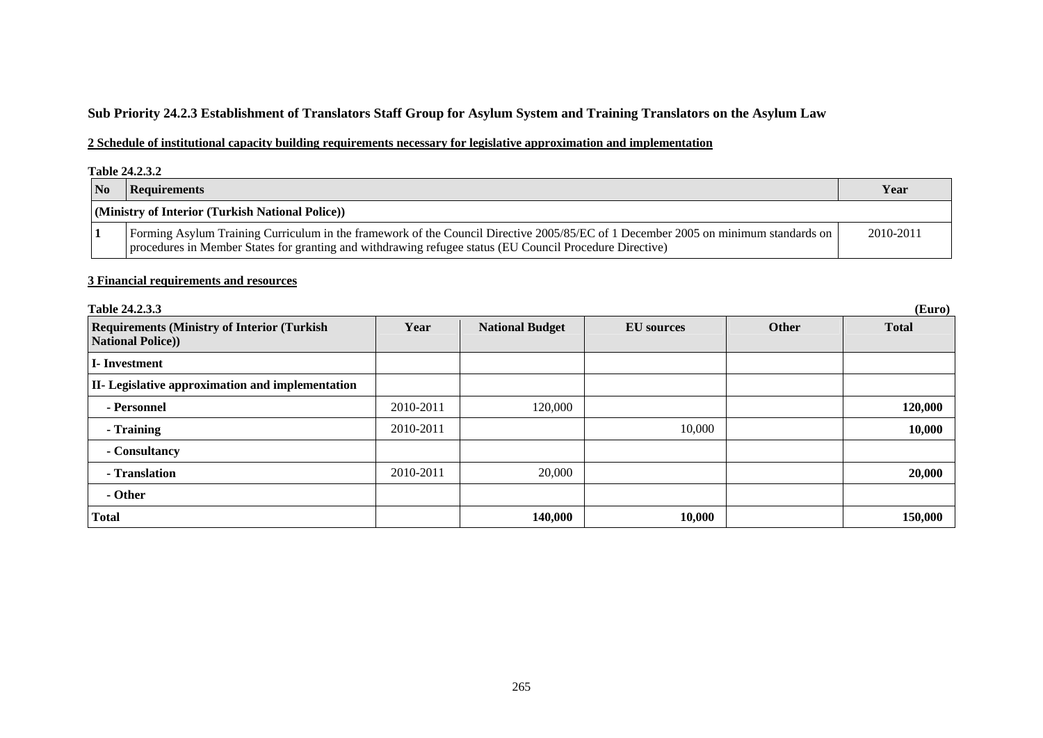# **Sub Priority 24.2.3 Establishment of Translators Staff Group for Asylum System and Training Translators on the Asylum Law**

## **2 Schedule of institutional capacity building requirements necessary for legislative approximation and implementation**

#### **Table 24.2.3.2**

| $\overline{\text{No}}$ | Requirements                                                                                                                                                                                                                                   | Year      |
|------------------------|------------------------------------------------------------------------------------------------------------------------------------------------------------------------------------------------------------------------------------------------|-----------|
|                        | (Ministry of Interior (Turkish National Police))                                                                                                                                                                                               |           |
|                        | Forming Asylum Training Curriculum in the framework of the Council Directive 2005/85/EC of 1 December 2005 on minimum standards on<br>procedures in Member States for granting and withdrawing refugee status (EU Council Procedure Directive) | 2010-2011 |

#### **3 Financial requirements and resources**

| Table 24.2.3.3                                                                 |           |                        |                   |       | (Euro)       |
|--------------------------------------------------------------------------------|-----------|------------------------|-------------------|-------|--------------|
| <b>Requirements (Ministry of Interior (Turkish)</b><br><b>National Police)</b> | Year      | <b>National Budget</b> | <b>EU</b> sources | Other | <b>Total</b> |
| I-Investment                                                                   |           |                        |                   |       |              |
| II- Legislative approximation and implementation                               |           |                        |                   |       |              |
| - Personnel                                                                    | 2010-2011 | 120,000                |                   |       | 120,000      |
| - Training                                                                     | 2010-2011 |                        | 10,000            |       | 10,000       |
| - Consultancy                                                                  |           |                        |                   |       |              |
| - Translation                                                                  | 2010-2011 | 20,000                 |                   |       | 20,000       |
| - Other                                                                        |           |                        |                   |       |              |
| <b>Total</b>                                                                   |           | 140,000                | 10,000            |       | 150,000      |

265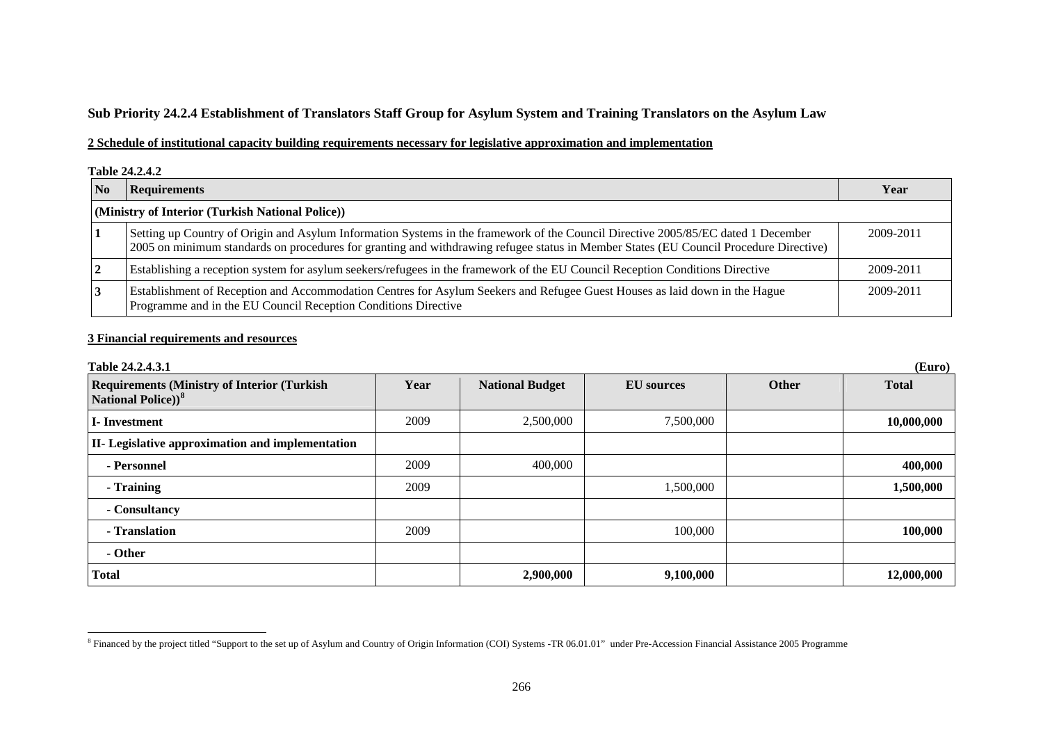## **Sub Priority 24.2.4 Establishment of Translators Staff Group for Asylum System and Training Translators on the Asylum Law**

## **2 Schedule of institutional capacity building requirements necessary for legislative approximation and implementation**

#### **Table 24.2.4.2**

| N <sub>0</sub> | <b>Requirements</b>                                                                                                                                                                                                                                                        | Year      |
|----------------|----------------------------------------------------------------------------------------------------------------------------------------------------------------------------------------------------------------------------------------------------------------------------|-----------|
|                | (Ministry of Interior (Turkish National Police))                                                                                                                                                                                                                           |           |
|                | Setting up Country of Origin and Asylum Information Systems in the framework of the Council Directive 2005/85/EC dated 1 December<br>2005 on minimum standards on procedures for granting and withdrawing refugee status in Member States (EU Council Procedure Directive) | 2009-2011 |
|                | Establishing a reception system for asylum seekers/refugees in the framework of the EU Council Reception Conditions Directive                                                                                                                                              | 2009-2011 |
|                | Establishment of Reception and Accommodation Centres for Asylum Seekers and Refugee Guest Houses as laid down in the Hague<br>Programme and in the EU Council Reception Conditions Directive                                                                               | 2009-2011 |

| Table 24.2.4.3.1                                                              |      |                        |                   |       | (Euro)       |
|-------------------------------------------------------------------------------|------|------------------------|-------------------|-------|--------------|
| <b>Requirements (Ministry of Interior (Turkish)</b><br>National Police) $)^8$ | Year | <b>National Budget</b> | <b>EU</b> sources | Other | <b>Total</b> |
| <b>I</b> -Investment                                                          | 2009 | 2,500,000              | 7,500,000         |       | 10,000,000   |
| <b>II-</b> Legislative approximation and implementation                       |      |                        |                   |       |              |
| - Personnel                                                                   | 2009 | 400,000                |                   |       | 400,000      |
| - Training                                                                    | 2009 |                        | 1,500,000         |       | 1,500,000    |
| - Consultancy                                                                 |      |                        |                   |       |              |
| - Translation                                                                 | 2009 |                        | 100,000           |       | 100,000      |
| - Other                                                                       |      |                        |                   |       |              |
| <b>Total</b>                                                                  |      | 2,900,000              | 9,100,000         |       | 12,000,000   |

<span id="page-14-0"></span><sup>&</sup>lt;sup>8</sup> Financed by the project titled "Support to the set up of Asylum and Country of Origin Information (COI) Systems -TR 06.01.01" under Pre-Accession Financial Assistance 2005 Programme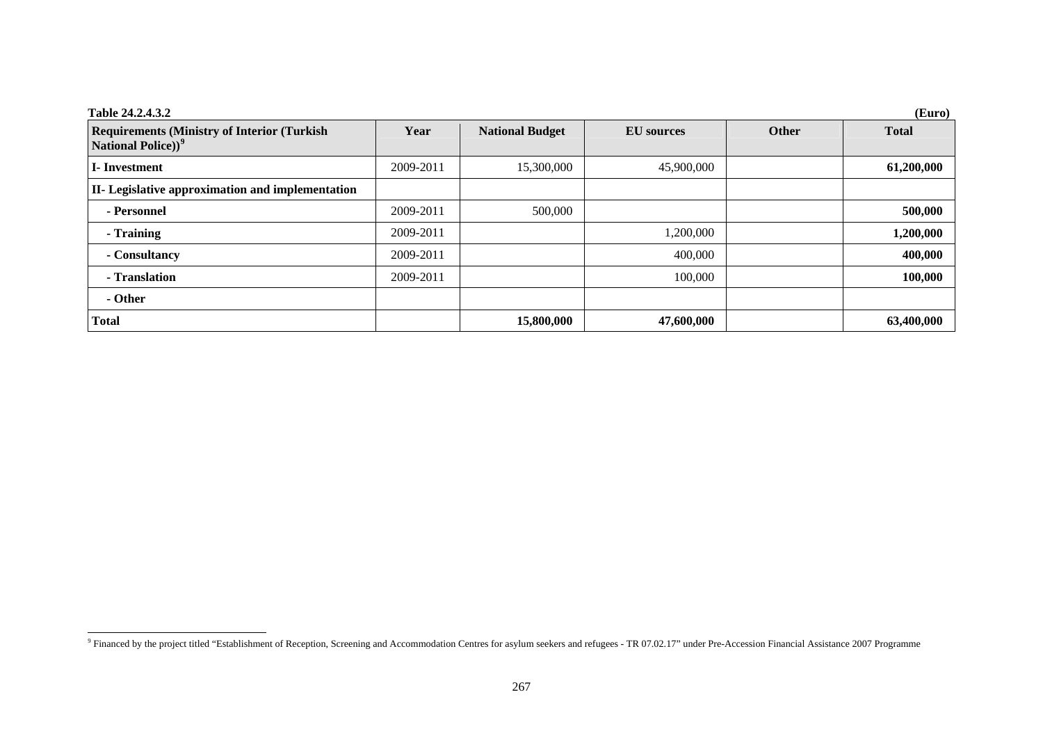| Table 24.2.4.3.2                                                                      |           |                        |                   |       | (Euro)       |
|---------------------------------------------------------------------------------------|-----------|------------------------|-------------------|-------|--------------|
| <b>Requirements (Ministry of Interior (Turkish)</b><br>National Police)) <sup>9</sup> | Year      | <b>National Budget</b> | <b>EU</b> sources | Other | <b>Total</b> |
| <b>I</b> -Investment                                                                  | 2009-2011 | 15,300,000             | 45,900,000        |       | 61,200,000   |
| II- Legislative approximation and implementation                                      |           |                        |                   |       |              |
| - Personnel                                                                           | 2009-2011 | 500,000                |                   |       | 500,000      |
| - Training                                                                            | 2009-2011 |                        | 1,200,000         |       | 1,200,000    |
| - Consultancy                                                                         | 2009-2011 |                        | 400,000           |       | 400,000      |
| - Translation                                                                         | 2009-2011 |                        | 100,000           |       | 100,000      |
| - Other                                                                               |           |                        |                   |       |              |
| <b>Total</b>                                                                          |           | 15,800,000             | 47,600,000        |       | 63,400,000   |

<span id="page-15-0"></span><sup>&</sup>lt;sup>9</sup> Financed by the project titled "Establishment of Reception, Screening and Accommodation Centres for asylum seekers and refugees - TR 07.02.17" under Pre-Accession Financial Assistance 2007 Programme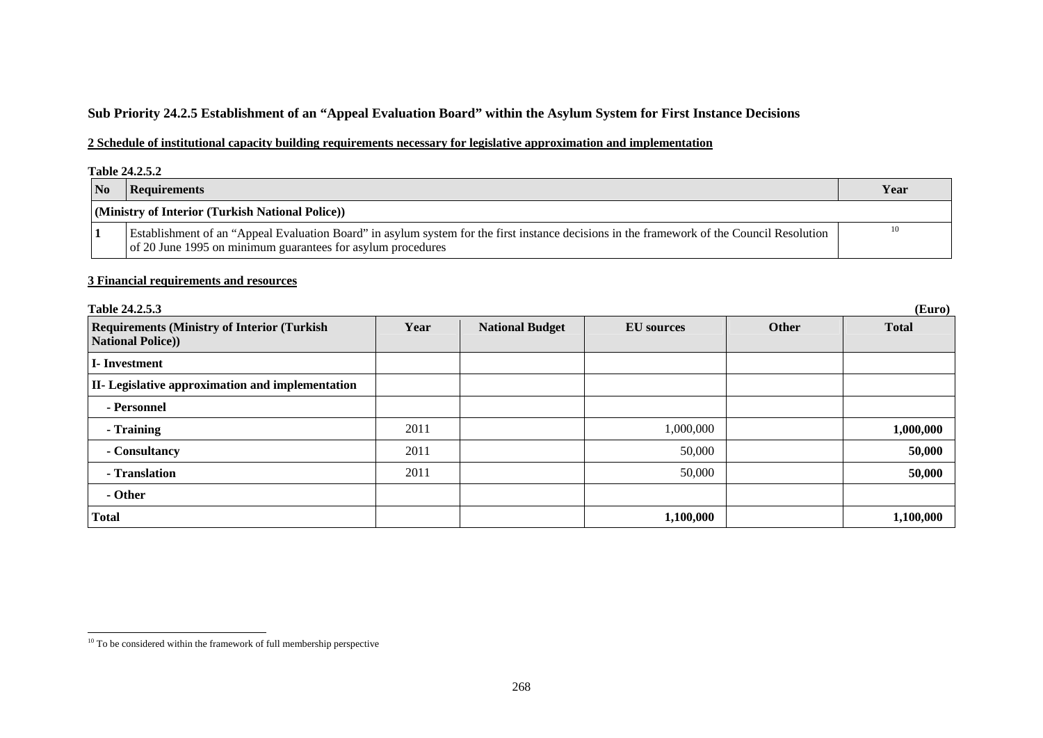# **Sub Priority 24.2.5 Establishment of an "Appeal Evaluation Board" within the Asylum System for First Instance Decisions**

## **2 Schedule of institutional capacity building requirements necessary for legislative approximation and implementation**

#### **Table 24.2.5.2**

|                         | 1 UUIV <i>E</i> TWW.                                                                                                                                                                                      |      |  |  |  |  |
|-------------------------|-----------------------------------------------------------------------------------------------------------------------------------------------------------------------------------------------------------|------|--|--|--|--|
| $\overline{\mathbf{N}}$ | Requirements                                                                                                                                                                                              | Year |  |  |  |  |
|                         | (Ministry of Interior (Turkish National Police))                                                                                                                                                          |      |  |  |  |  |
|                         | Establishment of an "Appeal Evaluation Board" in asylum system for the first instance decisions in the framework of the Council Resolution<br>of 20 June 1995 on minimum guarantees for asylum procedures | 10   |  |  |  |  |

| Table 24.2.5.3                                                                  |      |                        |                   |       | (Euro)       |
|---------------------------------------------------------------------------------|------|------------------------|-------------------|-------|--------------|
| <b>Requirements (Ministry of Interior (Turkish)</b><br><b>National Police))</b> | Year | <b>National Budget</b> | <b>EU</b> sources | Other | <b>Total</b> |
| I-Investment                                                                    |      |                        |                   |       |              |
| <b>II-</b> Legislative approximation and implementation                         |      |                        |                   |       |              |
| - Personnel                                                                     |      |                        |                   |       |              |
| - Training                                                                      | 2011 |                        | 1,000,000         |       | 1,000,000    |
| - Consultancy                                                                   | 2011 |                        | 50,000            |       | 50,000       |
| - Translation                                                                   | 2011 |                        | 50,000            |       | 50,000       |
| - Other                                                                         |      |                        |                   |       |              |
| <b>Total</b>                                                                    |      |                        | 1,100,000         |       | 1,100,000    |

<span id="page-16-0"></span> $10$  To be considered within the framework of full membership perspective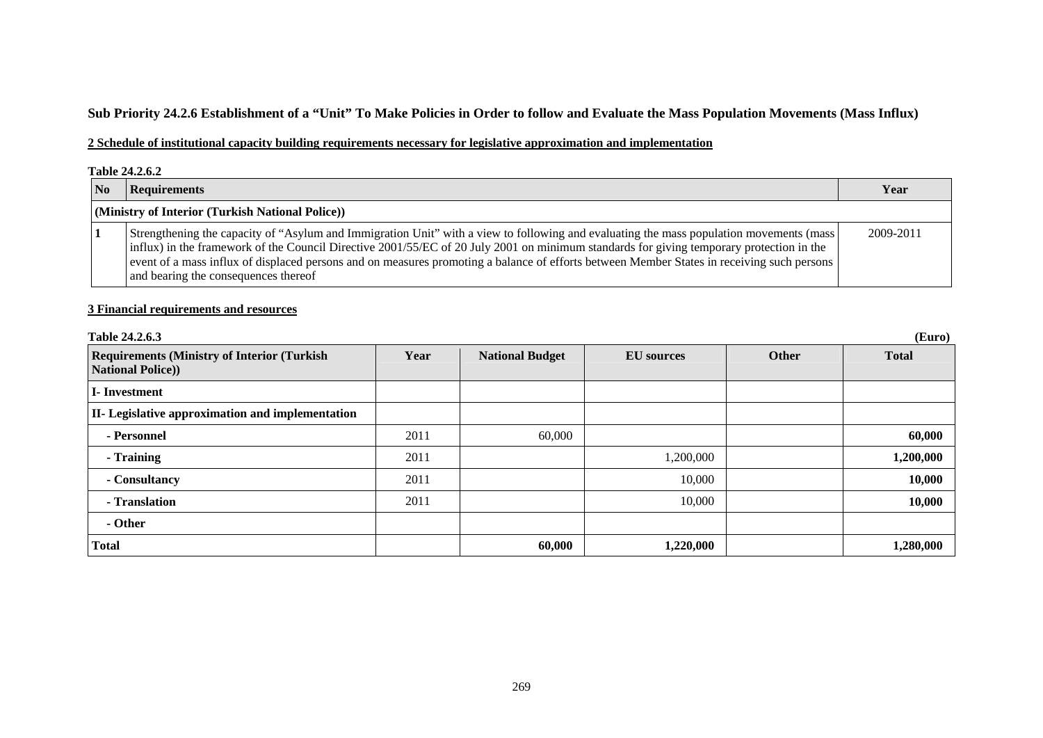# **Sub Priority 24.2.6 Establishment of a "Unit" To Make Policies in Order to follow and Evaluate the Mass Population Movements (Mass Influx)**

## **2 Schedule of institutional capacity building requirements necessary for legislative approximation and implementation**

#### **Table 24.2.6.2**

| N <sub>0</sub> | <b>Requirements</b>                                                                                                                                                                                                                                                                                                                                                                                                                                                        | Year      |
|----------------|----------------------------------------------------------------------------------------------------------------------------------------------------------------------------------------------------------------------------------------------------------------------------------------------------------------------------------------------------------------------------------------------------------------------------------------------------------------------------|-----------|
|                | (Ministry of Interior (Turkish National Police))                                                                                                                                                                                                                                                                                                                                                                                                                           |           |
|                | Strengthening the capacity of "Asylum and Immigration Unit" with a view to following and evaluating the mass population movements (mass)<br>influx) in the framework of the Council Directive 2001/55/EC of 20 July 2001 on minimum standards for giving temporary protection in the<br>event of a mass influx of displaced persons and on measures promoting a balance of efforts between Member States in receiving such persons<br>and bearing the consequences thereof | 2009-2011 |

| Table 24.2.6.3                                                                 | (Euro) |                        |                   |              |              |  |  |
|--------------------------------------------------------------------------------|--------|------------------------|-------------------|--------------|--------------|--|--|
| <b>Requirements (Ministry of Interior (Turkish)</b><br><b>National Police)</b> | Year   | <b>National Budget</b> | <b>EU</b> sources | <b>Other</b> | <b>Total</b> |  |  |
| I-Investment                                                                   |        |                        |                   |              |              |  |  |
| <b>II-</b> Legislative approximation and implementation                        |        |                        |                   |              |              |  |  |
| - Personnel                                                                    | 2011   | 60,000                 |                   |              | 60,000       |  |  |
| - Training                                                                     | 2011   |                        | 1,200,000         |              | 1,200,000    |  |  |
| - Consultancy                                                                  | 2011   |                        | 10,000            |              | 10,000       |  |  |
| - Translation                                                                  | 2011   |                        | 10,000            |              | 10,000       |  |  |
| - Other                                                                        |        |                        |                   |              |              |  |  |
| <b>Total</b>                                                                   |        | 60,000                 | 1,220,000         |              | 1,280,000    |  |  |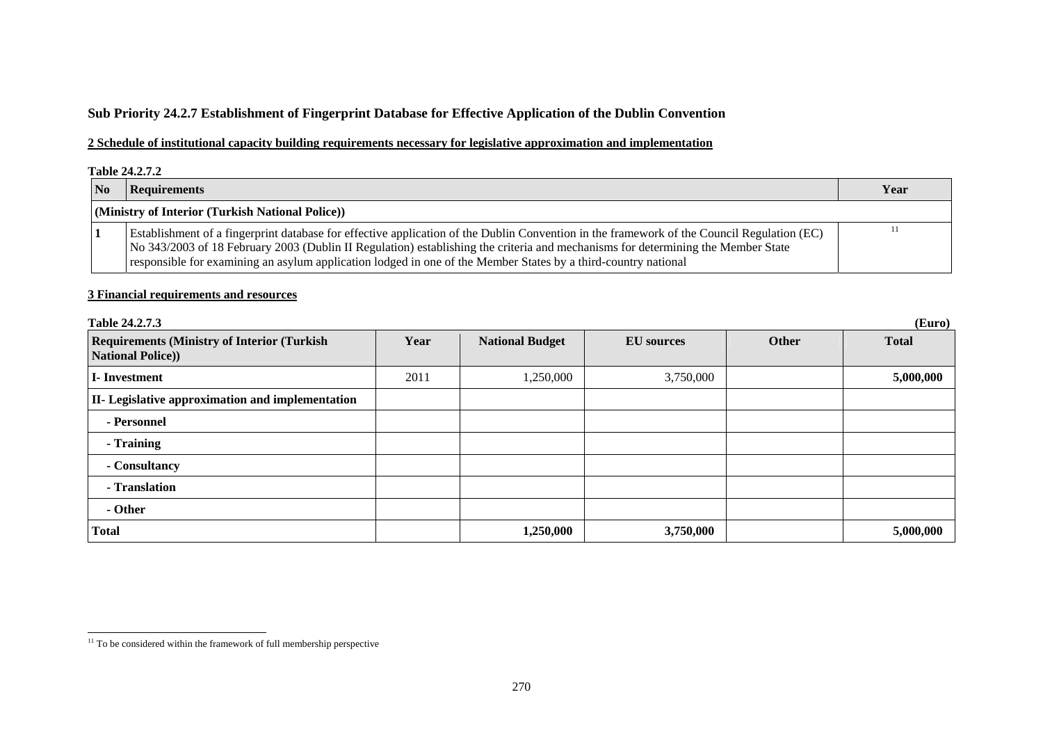# **Sub Priority 24.2.7 Establishment of Fingerprint Database for Effective Application of the Dublin Convention**

## **2 Schedule of institutional capacity building requirements necessary for legislative approximation and implementation**

#### **Table 24.2.7.2**

| $\overline{\mathbf{N}}$ | Requirements                                                                                                                                                                                                                                                                                                                                                                                     | Year |
|-------------------------|--------------------------------------------------------------------------------------------------------------------------------------------------------------------------------------------------------------------------------------------------------------------------------------------------------------------------------------------------------------------------------------------------|------|
|                         | (Ministry of Interior (Turkish National Police))                                                                                                                                                                                                                                                                                                                                                 |      |
|                         | Establishment of a fingerprint database for effective application of the Dublin Convention in the framework of the Council Regulation (EC)<br>No 343/2003 of 18 February 2003 (Dublin II Regulation) establishing the criteria and mechanisms for determining the Member State<br>responsible for examining an asylum application lodged in one of the Member States by a third-country national |      |

| Table 24.2.7.3                                                                 |      |                        |                   |       | (Euro)       |
|--------------------------------------------------------------------------------|------|------------------------|-------------------|-------|--------------|
| <b>Requirements (Ministry of Interior (Turkish)</b><br><b>National Police)</b> | Year | <b>National Budget</b> | <b>EU</b> sources | Other | <b>Total</b> |
| I-Investment                                                                   | 2011 | 1,250,000              | 3,750,000         |       | 5,000,000    |
| II- Legislative approximation and implementation                               |      |                        |                   |       |              |
| - Personnel                                                                    |      |                        |                   |       |              |
| - Training                                                                     |      |                        |                   |       |              |
| - Consultancy                                                                  |      |                        |                   |       |              |
| - Translation                                                                  |      |                        |                   |       |              |
| - Other                                                                        |      |                        |                   |       |              |
| <b>Total</b>                                                                   |      | 1,250,000              | 3,750,000         |       | 5,000,000    |

<span id="page-18-0"></span> $11$  To be considered within the framework of full membership perspective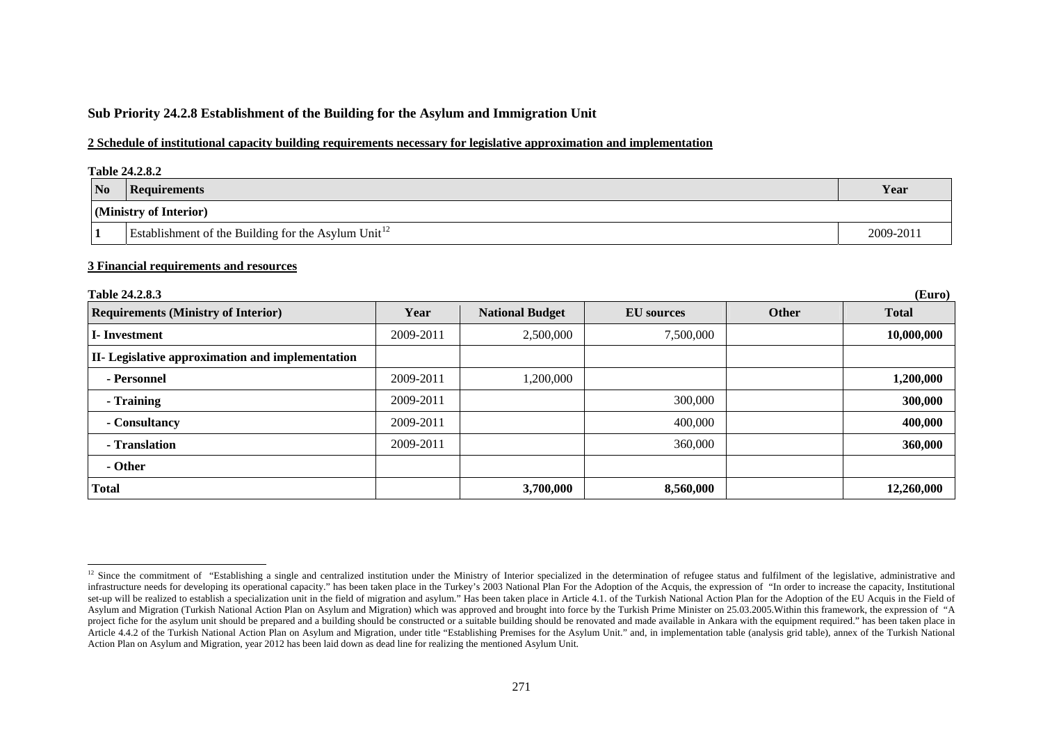## **Sub Priority 24.2.8 Establishment of the Building for the Asylum and Immigration Unit**

## **2 Schedule of institutional capacity building requirements necessary for legislative approximation and implementation**

|                | <b>Table 24.2.8.2</b>                                           |           |  |  |  |  |  |
|----------------|-----------------------------------------------------------------|-----------|--|--|--|--|--|
| N <sub>0</sub> | <b>Requirements</b>                                             | Year      |  |  |  |  |  |
|                | (Ministry of Interior)                                          |           |  |  |  |  |  |
|                | Establishment of the Building for the Asylum Unit <sup>12</sup> | 2009-2011 |  |  |  |  |  |

| <b>Table 24.2.8.3</b><br>(Euro)                         |           |                        |                   |       |              |  |
|---------------------------------------------------------|-----------|------------------------|-------------------|-------|--------------|--|
| <b>Requirements (Ministry of Interior)</b>              | Year      | <b>National Budget</b> | <b>EU</b> sources | Other | <b>Total</b> |  |
| <b>I</b> -Investment                                    | 2009-2011 | 2,500,000              | 7,500,000         |       | 10,000,000   |  |
| <b>II-</b> Legislative approximation and implementation |           |                        |                   |       |              |  |
| - Personnel                                             | 2009-2011 | 1,200,000              |                   |       | 1,200,000    |  |
| - Training                                              | 2009-2011 |                        | 300,000           |       | 300,000      |  |
| - Consultancy                                           | 2009-2011 |                        | 400,000           |       | 400,000      |  |
| - Translation                                           | 2009-2011 |                        | 360,000           |       | 360,000      |  |
| - Other                                                 |           |                        |                   |       |              |  |
| <b>Total</b>                                            |           | 3,700,000              | 8,560,000         |       | 12,260,000   |  |

<span id="page-19-0"></span><sup>&</sup>lt;sup>12</sup> Since the commitment of "Establishing a single and centralized institution under the Ministry of Interior specialized in the determination of refugee status and fulfilment of the legislative, administrative and infrastructure needs for developing its operational capacity." has been taken place in the Turkey's 2003 National Plan For the Adoption of the Acquis, the expression of "In order to increase the capacity, Institutional set-up will be realized to establish a specialization unit in the field of migration and asylum." Has been taken place in Article 4.1. of the Turkish National Action Plan for the Adoption of the EU Acquis in the Field of Asylum and Migration (Turkish National Action Plan on Asylum and Migration) which was approved and brought into force by the Turkish Prime Minister on 25.03.2005. Within this framework, the expression of "A project fiche for the asylum unit should be prepared and a building should be constructed or a suitable building should be renovated and made available in Ankara with the equipment required." has been taken place in Article 4.4.2 of the Turkish National Action Plan on Asylum and Migration, under title "Establishing Premises for the Asylum Unit." and, in implementation table (analysis grid table), annex of the Turkish National Action Plan on Asylum and Migration, year 2012 has been laid down as dead line for realizing the mentioned Asylum Unit.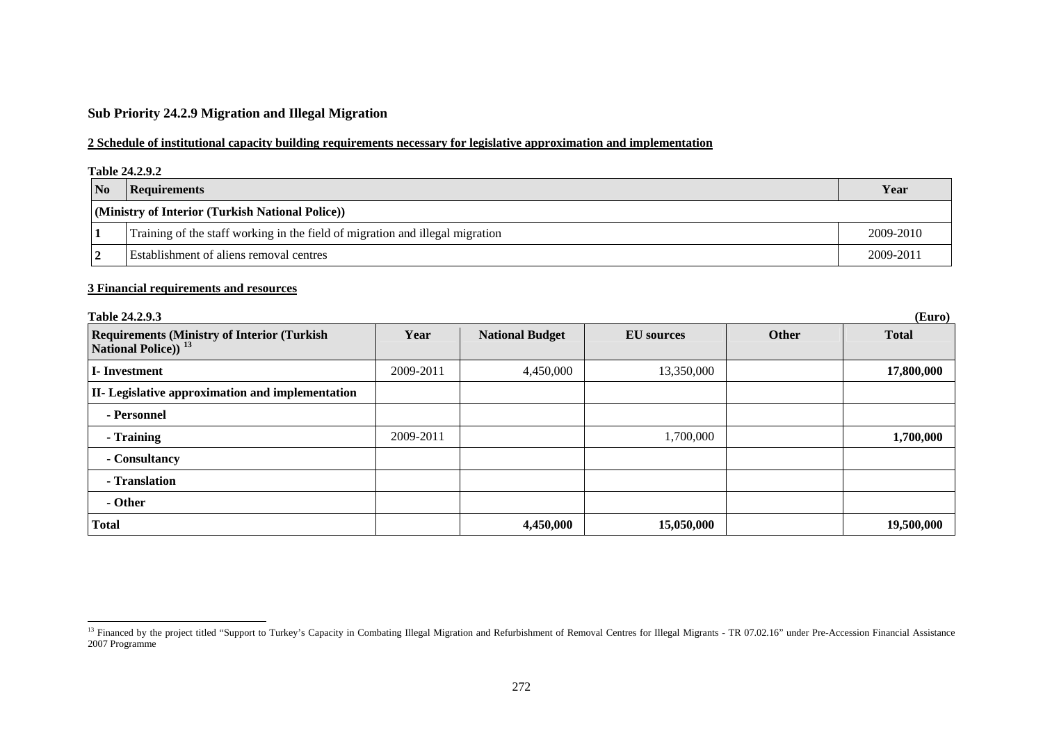## **Sub Priority 24.2.9 Migration and Illegal Migration**

## **2 Schedule of institutional capacity building requirements necessary for legislative approximation and implementation**

#### **Table 24.2.9.2**

| <b>No</b>                                        | Requirements                                                                  | Year      |  |  |  |
|--------------------------------------------------|-------------------------------------------------------------------------------|-----------|--|--|--|
| (Ministry of Interior (Turkish National Police)) |                                                                               |           |  |  |  |
|                                                  | Training of the staff working in the field of migration and illegal migration | 2009-2010 |  |  |  |
|                                                  | <b>Establishment of aliens removal centres</b>                                | 2009-2011 |  |  |  |

| Table 24.2.9.3                                                                         |           |                        |                   |       | (Euro)       |
|----------------------------------------------------------------------------------------|-----------|------------------------|-------------------|-------|--------------|
| <b>Requirements (Ministry of Interior (Turkish)</b><br>National Police)) <sup>13</sup> | Year      | <b>National Budget</b> | <b>EU</b> sources | Other | <b>Total</b> |
| I-Investment                                                                           | 2009-2011 | 4,450,000              | 13,350,000        |       | 17,800,000   |
| II- Legislative approximation and implementation                                       |           |                        |                   |       |              |
| - Personnel                                                                            |           |                        |                   |       |              |
| - Training                                                                             | 2009-2011 |                        | 1,700,000         |       | 1,700,000    |
| - Consultancy                                                                          |           |                        |                   |       |              |
| - Translation                                                                          |           |                        |                   |       |              |
| - Other                                                                                |           |                        |                   |       |              |
| <b>Total</b>                                                                           |           | 4,450,000              | 15,050,000        |       | 19,500,000   |

<span id="page-20-0"></span><sup>&</sup>lt;sup>13</sup> Financed by the project titled "Support to Turkey's Capacity in Combating Illegal Migration and Refurbishment of Removal Centres for Illegal Migrants - TR 07.02.16" under Pre-Accession Financial Assistance 2007 Programme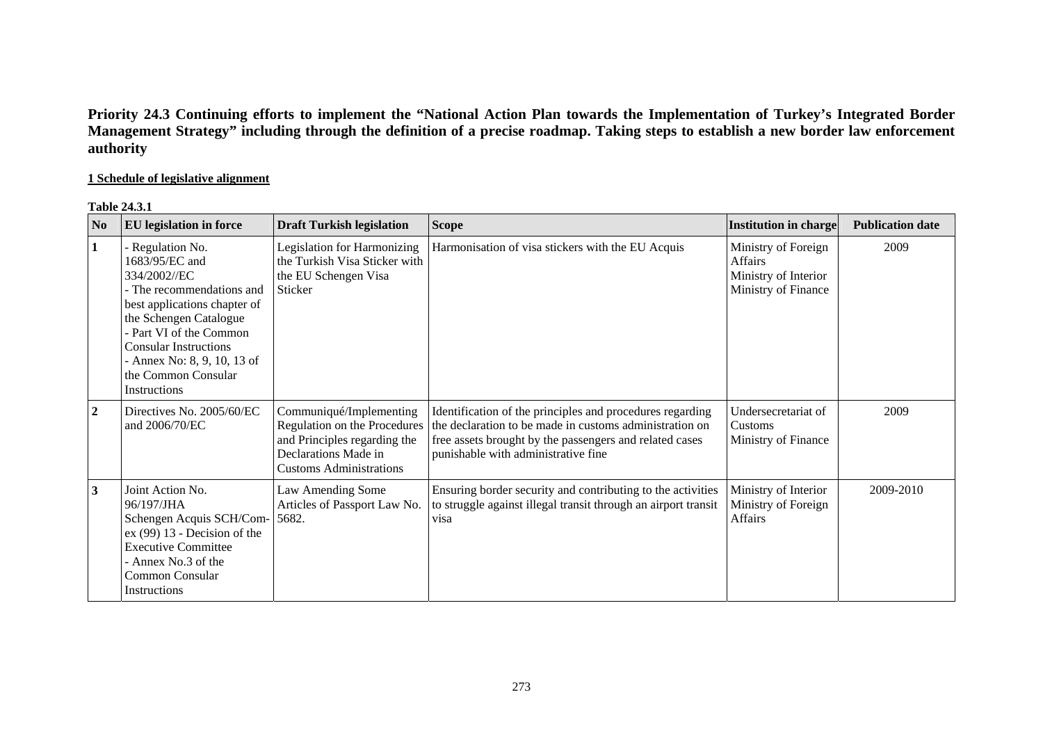# **Priority 24.3 Continuing efforts to implement the "National Action Plan towards the Implementation of Turkey's Integrated Border Management Strategy" including through the definition of a precise roadmap. Taking steps to establish a new border law enforcement authority**

## **1 Schedule of legislative alignment**

## **Table 24.3.1**

| N <sub>o</sub>   | <b>EU</b> legislation in force                                                                                                                                                                                                                                           | <b>Draft Turkish legislation</b>                                                                                                                  | <b>Scope</b>                                                                                                                                                                                                           | Institution in charge                                                         | <b>Publication date</b> |
|------------------|--------------------------------------------------------------------------------------------------------------------------------------------------------------------------------------------------------------------------------------------------------------------------|---------------------------------------------------------------------------------------------------------------------------------------------------|------------------------------------------------------------------------------------------------------------------------------------------------------------------------------------------------------------------------|-------------------------------------------------------------------------------|-------------------------|
|                  | - Regulation No.<br>1683/95/EC and<br>334/2002//EC<br>- The recommendations and<br>best applications chapter of<br>the Schengen Catalogue<br>Part VI of the Common<br><b>Consular Instructions</b><br>- Annex No: 8, 9, 10, 13 of<br>the Common Consular<br>Instructions | Legislation for Harmonizing<br>the Turkish Visa Sticker with<br>the EU Schengen Visa<br>Sticker                                                   | Harmonisation of visa stickers with the EU Acquis                                                                                                                                                                      | Ministry of Foreign<br>Affairs<br>Ministry of Interior<br>Ministry of Finance | 2009                    |
| $\boldsymbol{2}$ | Directives No. 2005/60/EC<br>and 2006/70/EC                                                                                                                                                                                                                              | Communiqué/Implementing<br>Regulation on the Procedures<br>and Principles regarding the<br>Declarations Made in<br><b>Customs Administrations</b> | Identification of the principles and procedures regarding<br>the declaration to be made in customs administration on<br>free assets brought by the passengers and related cases<br>punishable with administrative fine | Undersecretariat of<br>Customs<br>Ministry of Finance                         | 2009                    |
| 3                | Joint Action No.<br>96/197/JHA<br>Schengen Acquis SCH/Com-<br>$ex (99) 13$ - Decision of the<br><b>Executive Committee</b><br>- Annex No.3 of the<br>Common Consular<br>Instructions                                                                                     | Law Amending Some<br>Articles of Passport Law No.<br>5682.                                                                                        | Ensuring border security and contributing to the activities<br>to struggle against illegal transit through an airport transit<br>visa                                                                                  | Ministry of Interior<br>Ministry of Foreign<br><b>Affairs</b>                 | 2009-2010               |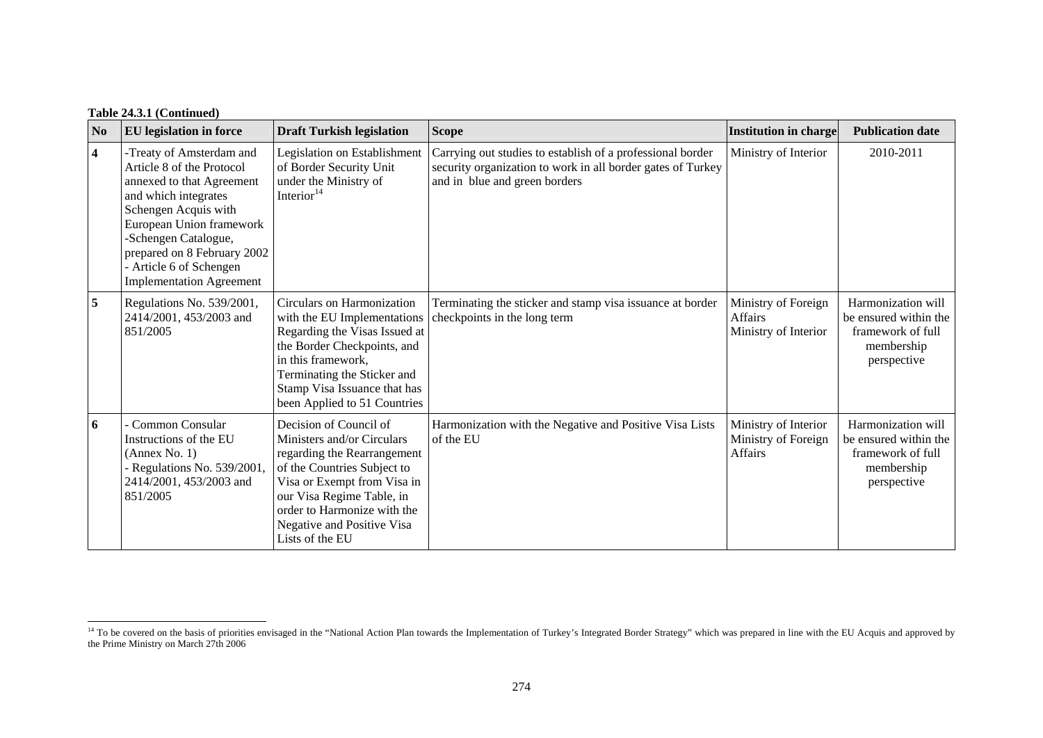| N <sub>0</sub>          | <b>EU</b> legislation in force                                                                                                                                                                                                                                                      | <b>Draft Turkish legislation</b>                                                                                                                                                                                                                               | <b>Scope</b>                                                                                                                                               | <b>Institution in charge</b>                                  | <b>Publication date</b>                                                                       |
|-------------------------|-------------------------------------------------------------------------------------------------------------------------------------------------------------------------------------------------------------------------------------------------------------------------------------|----------------------------------------------------------------------------------------------------------------------------------------------------------------------------------------------------------------------------------------------------------------|------------------------------------------------------------------------------------------------------------------------------------------------------------|---------------------------------------------------------------|-----------------------------------------------------------------------------------------------|
| $\overline{\mathbf{4}}$ | -Treaty of Amsterdam and<br>Article 8 of the Protocol<br>annexed to that Agreement<br>and which integrates<br>Schengen Acquis with<br>European Union framework<br>-Schengen Catalogue,<br>prepared on 8 February 2002<br>- Article 6 of Schengen<br><b>Implementation Agreement</b> | Legislation on Establishment<br>of Border Security Unit<br>under the Ministry of<br>Interior $14$                                                                                                                                                              | Carrying out studies to establish of a professional border<br>security organization to work in all border gates of Turkey<br>and in blue and green borders | Ministry of Interior                                          | 2010-2011                                                                                     |
| 5                       | Regulations No. 539/2001,<br>2414/2001, 453/2003 and<br>851/2005                                                                                                                                                                                                                    | Circulars on Harmonization<br>with the EU Implementations<br>Regarding the Visas Issued at<br>the Border Checkpoints, and<br>in this framework,<br>Terminating the Sticker and<br>Stamp Visa Issuance that has<br>been Applied to 51 Countries                 | Terminating the sticker and stamp visa issuance at border<br>checkpoints in the long term                                                                  | Ministry of Foreign<br><b>Affairs</b><br>Ministry of Interior | Harmonization will<br>be ensured within the<br>framework of full<br>membership<br>perspective |
| 6                       | Common Consular<br>Instructions of the EU<br>(Annex No. 1)<br>- Regulations No. 539/2001,<br>2414/2001, 453/2003 and<br>851/2005                                                                                                                                                    | Decision of Council of<br>Ministers and/or Circulars<br>regarding the Rearrangement<br>of the Countries Subject to<br>Visa or Exempt from Visa in<br>our Visa Regime Table, in<br>order to Harmonize with the<br>Negative and Positive Visa<br>Lists of the EU | Harmonization with the Negative and Positive Visa Lists<br>of the EU                                                                                       | Ministry of Interior<br>Ministry of Foreign<br><b>Affairs</b> | Harmonization will<br>be ensured within the<br>framework of full<br>membership<br>perspective |

<span id="page-22-0"></span><sup>&</sup>lt;sup>14</sup> To be covered on the basis of priorities envisaged in the "National Action Plan towards the Implementation of Turkey's Integrated Border Strategy" which was prepared in line with the EU Acquis and approved by the Prime Ministry on March 27th 2006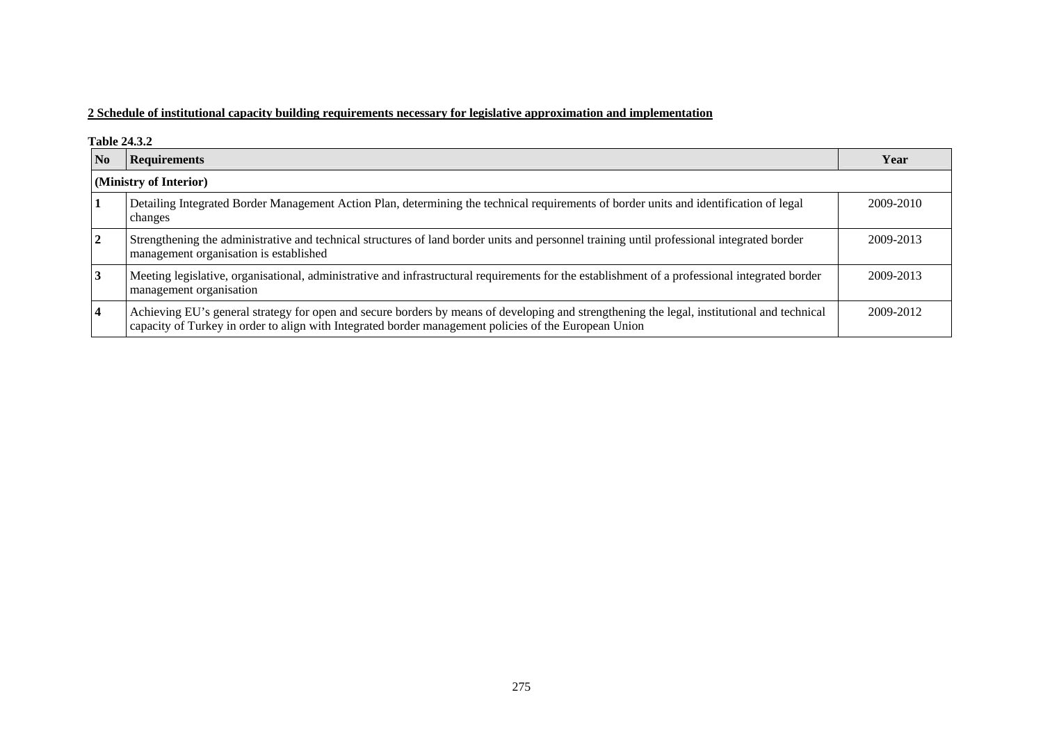## **2 Schedule of institutional capacity building requirements necessary for legislative approximation and implementation**

#### **Table 24.3.2**

| $\mathbf{N}\mathbf{o}$ | <b>Requirements</b>                                                                                                                                                                                                                                  | Year      |  |  |  |  |
|------------------------|------------------------------------------------------------------------------------------------------------------------------------------------------------------------------------------------------------------------------------------------------|-----------|--|--|--|--|
|                        | (Ministry of Interior)                                                                                                                                                                                                                               |           |  |  |  |  |
|                        | Detailing Integrated Border Management Action Plan, determining the technical requirements of border units and identification of legal<br>changes                                                                                                    | 2009-2010 |  |  |  |  |
| $\mathbf{2}$           | Strengthening the administrative and technical structures of land border units and personnel training until professional integrated border<br>management organisation is established                                                                 | 2009-2013 |  |  |  |  |
|                        | Meeting legislative, organisational, administrative and infrastructural requirements for the establishment of a professional integrated border<br>management organisation                                                                            | 2009-2013 |  |  |  |  |
|                        | Achieving EU's general strategy for open and secure borders by means of developing and strengthening the legal, institutional and technical<br>capacity of Turkey in order to align with Integrated border management policies of the European Union | 2009-2012 |  |  |  |  |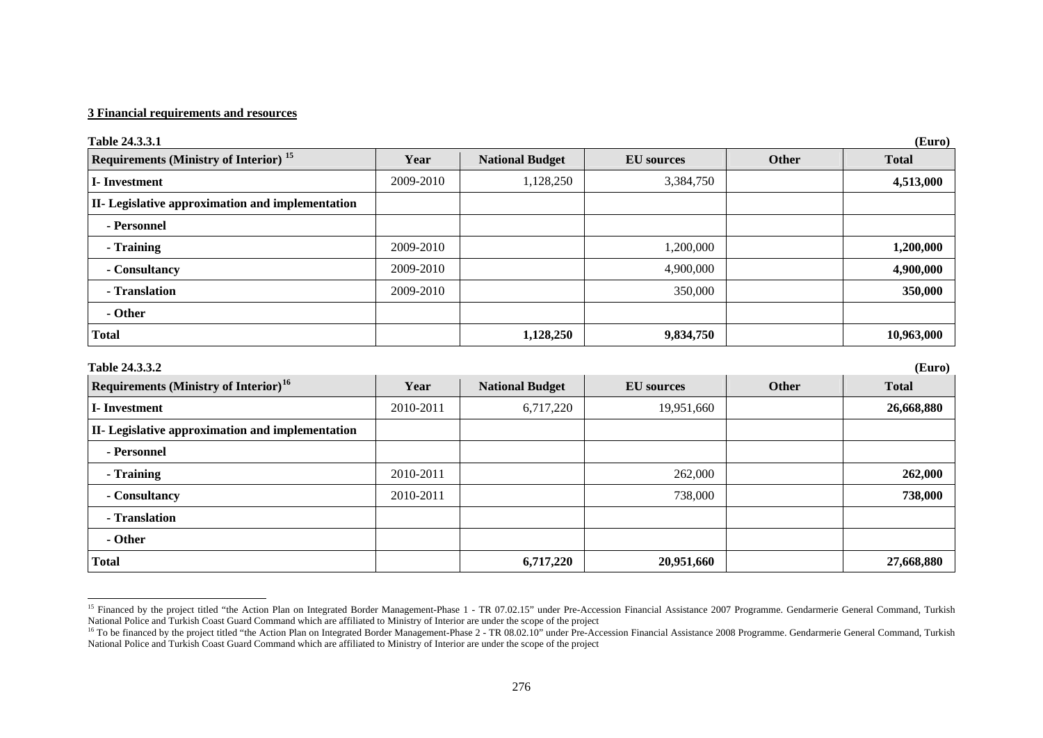| Table 24.3.3.1                                    |           |                        |                   |       | (Euro)       |
|---------------------------------------------------|-----------|------------------------|-------------------|-------|--------------|
| Requirements (Ministry of Interior) <sup>15</sup> | Year      | <b>National Budget</b> | <b>EU</b> sources | Other | <b>Total</b> |
| <b>I-Investment</b>                               | 2009-2010 | 1,128,250              | 3,384,750         |       | 4,513,000    |
| II- Legislative approximation and implementation  |           |                        |                   |       |              |
| - Personnel                                       |           |                        |                   |       |              |
| - Training                                        | 2009-2010 |                        | 1,200,000         |       | 1,200,000    |
| - Consultancy                                     | 2009-2010 |                        | 4,900,000         |       | 4,900,000    |
| - Translation                                     | 2009-2010 |                        | 350,000           |       | 350,000      |
| - Other                                           |           |                        |                   |       |              |
| <b>Total</b>                                      |           | 1,128,250              | 9,834,750         |       | 10,963,000   |
| Table 24.3.3.2                                    |           |                        |                   |       | (Euro)       |
| Requirements (Ministry of Interior) <sup>16</sup> | Year      | <b>National Budget</b> | <b>EU</b> sources | Other | <b>Total</b> |
| I-Investment                                      | 2010-2011 | 6,717,220              | 19,951,660        |       | 26,668,880   |
| II- Legislative approximation and implementation  |           |                        |                   |       |              |
| - Personnel                                       |           |                        |                   |       |              |
| - Training                                        | 2010-2011 |                        | 262,000           |       | 262,000      |
| - Consultancy                                     | 2010-2011 |                        | 738,000           |       | 738,000      |
| - Translation                                     |           |                        |                   |       |              |
| - Other                                           |           |                        |                   |       |              |
| <b>Total</b>                                      |           | 6,717,220              | 20,951,660        |       | 27,668,880   |

<span id="page-24-1"></span><span id="page-24-0"></span><sup>&</sup>lt;sup>15</sup> Financed by the project titled "the Action Plan on Integrated Border Management-Phase 1 - TR 07.02.15" under Pre-Accession Financial Assistance 2007 Programme. Gendarmerie General Command, Turkish National Police and Turkish Coast Guard Command which are affiliated to Ministry of Interior are under the scope of the project

<sup>&</sup>lt;sup>16</sup> To be financed by the project titled "the Action Plan on Integrated Border Management-Phase 2 - TR 08.02.10" under Pre-Accession Financial Assistance 2008 Programme. Gendarmerie General Command, Turkish National Police and Turkish Coast Guard Command which are affiliated to Ministry of Interior are under the scope of the project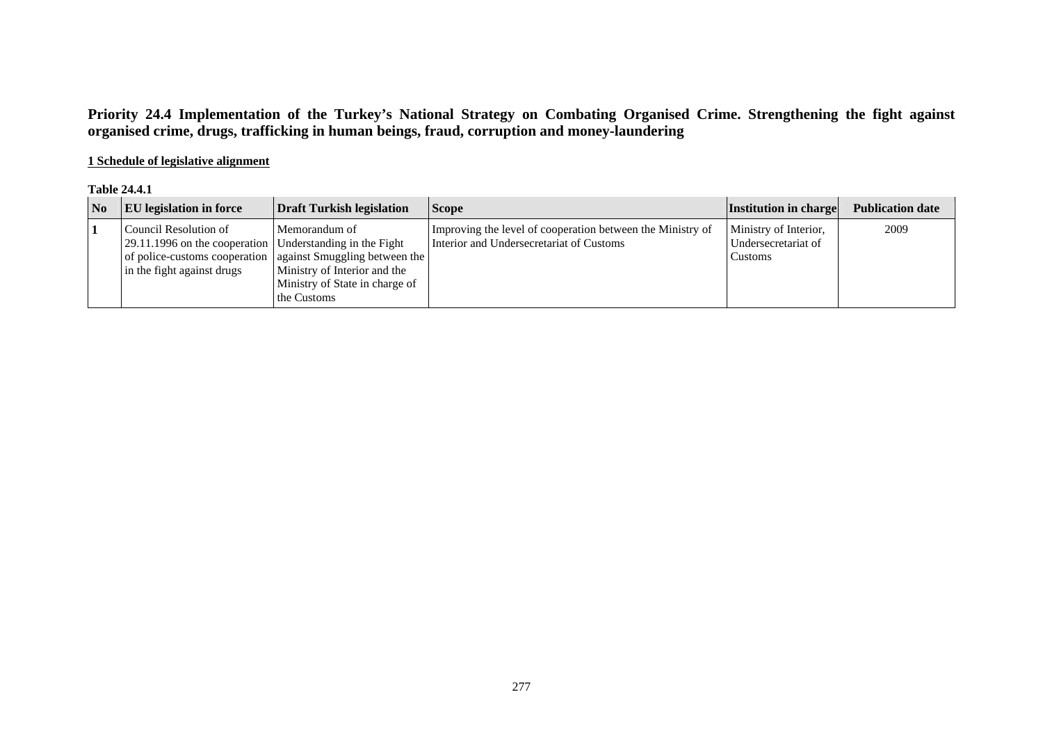# **Priority 24.4 Implementation of the Turkey's National Strategy on Combating Organised Crime. Strengthening the fight against organised crime, drugs, trafficking in human beings, fraud, corruption and money-laundering**

## **1 Schedule of legislative alignment**

## **Table 24.4.1**

| $\overline{\mathbf{N}}$ | <b>EU</b> legislation in force                                                                                    | <b>Draft Turkish legislation</b>                                                                                                                                  | <b>Scope</b>                                                                                           | <b>Institution in charge</b>                            | <b>Publication date</b> |
|-------------------------|-------------------------------------------------------------------------------------------------------------------|-------------------------------------------------------------------------------------------------------------------------------------------------------------------|--------------------------------------------------------------------------------------------------------|---------------------------------------------------------|-------------------------|
|                         | Council Resolution of<br>29.11.1996 on the cooperation   Understanding in the Fight<br>in the fight against drugs | Memorandum of<br>of police-customs cooperation   against Smuggling between the  <br>Ministry of Interior and the<br>Ministry of State in charge of<br>the Customs | Improving the level of cooperation between the Ministry of<br>Interior and Undersecretariat of Customs | Ministry of Interior,<br>Undersecretariat of<br>Customs | 2009                    |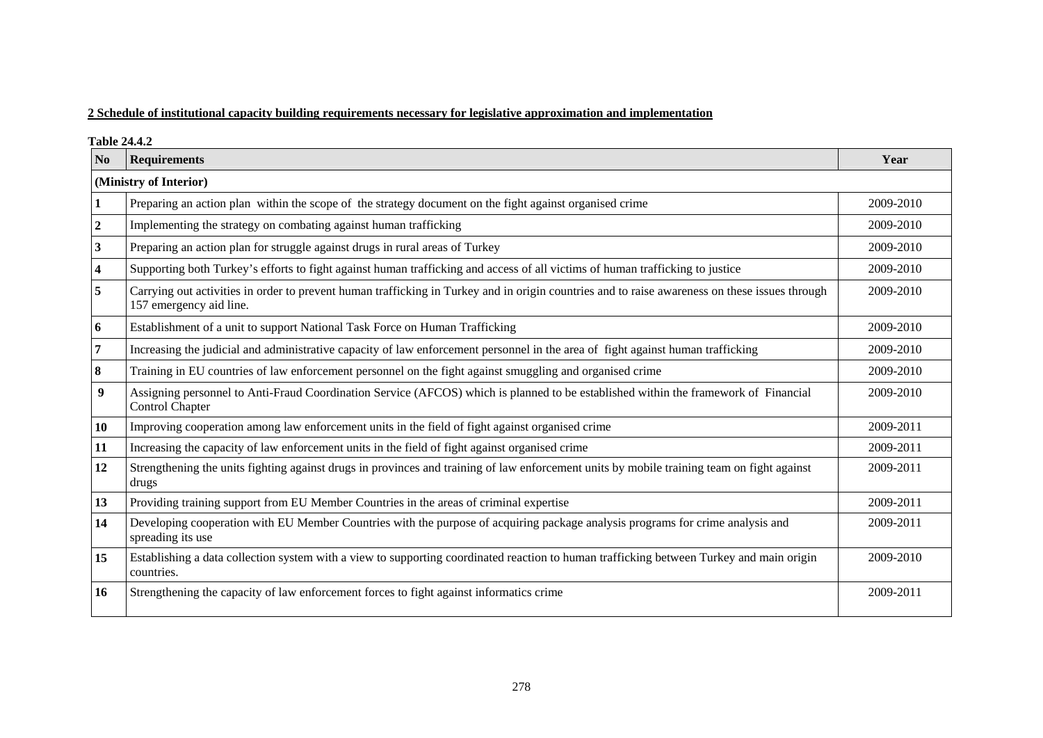## **2 Schedule of institutional capacity building requirements necessary for legislative approximation and implementation**

**Table 24.4.2** 

| N <sub>0</sub> | <b>Requirements</b>                                                                                                                                                       | Year      |
|----------------|---------------------------------------------------------------------------------------------------------------------------------------------------------------------------|-----------|
|                | (Ministry of Interior)                                                                                                                                                    |           |
|                | Preparing an action plan within the scope of the strategy document on the fight against organised crime                                                                   | 2009-2010 |
|                | Implementing the strategy on combating against human trafficking                                                                                                          | 2009-2010 |
| 3              | Preparing an action plan for struggle against drugs in rural areas of Turkey                                                                                              | 2009-2010 |
|                | Supporting both Turkey's efforts to fight against human trafficking and access of all victims of human trafficking to justice                                             | 2009-2010 |
|                | Carrying out activities in order to prevent human trafficking in Turkey and in origin countries and to raise awareness on these issues through<br>157 emergency aid line. | 2009-2010 |
| 6              | Establishment of a unit to support National Task Force on Human Trafficking                                                                                               | 2009-2010 |
|                | Increasing the judicial and administrative capacity of law enforcement personnel in the area of fight against human trafficking                                           | 2009-2010 |
|                | Training in EU countries of law enforcement personnel on the fight against smuggling and organised crime                                                                  | 2009-2010 |
| 9              | Assigning personnel to Anti-Fraud Coordination Service (AFCOS) which is planned to be established within the framework of Financial<br>Control Chapter                    | 2009-2010 |
| 10             | Improving cooperation among law enforcement units in the field of fight against organised crime                                                                           | 2009-2011 |
| 11             | Increasing the capacity of law enforcement units in the field of fight against organised crime                                                                            | 2009-2011 |
| 12             | Strengthening the units fighting against drugs in provinces and training of law enforcement units by mobile training team on fight against<br>drugs                       | 2009-2011 |
| 13             | Providing training support from EU Member Countries in the areas of criminal expertise                                                                                    | 2009-2011 |
| 14             | Developing cooperation with EU Member Countries with the purpose of acquiring package analysis programs for crime analysis and<br>spreading its use                       | 2009-2011 |
| 15             | Establishing a data collection system with a view to supporting coordinated reaction to human trafficking between Turkey and main origin<br>countries.                    | 2009-2010 |
| 16             | Strengthening the capacity of law enforcement forces to fight against informatics crime                                                                                   | 2009-2011 |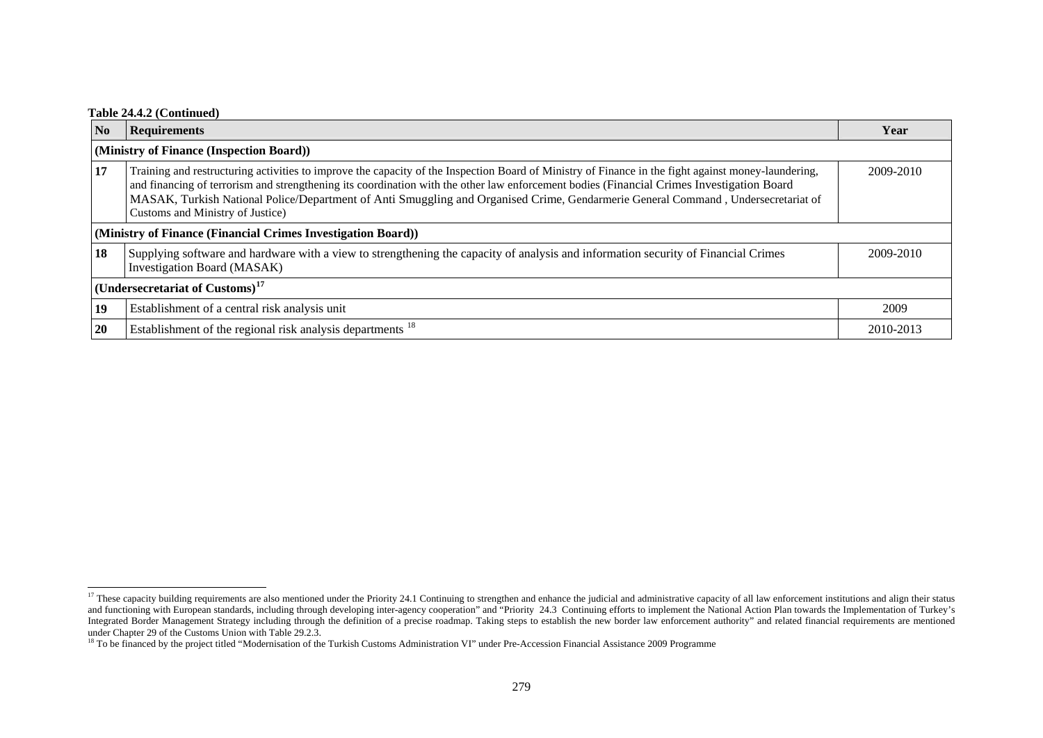#### **Table 24.4.2 (Continued)**

| $\overline{\text{No}}$                   | <b>Requirements</b>                                                                                                                                                                                                                                                                                                                                                                                                                                                       | Year      |  |  |
|------------------------------------------|---------------------------------------------------------------------------------------------------------------------------------------------------------------------------------------------------------------------------------------------------------------------------------------------------------------------------------------------------------------------------------------------------------------------------------------------------------------------------|-----------|--|--|
| (Ministry of Finance (Inspection Board)) |                                                                                                                                                                                                                                                                                                                                                                                                                                                                           |           |  |  |
| 17                                       | Training and restructuring activities to improve the capacity of the Inspection Board of Ministry of Finance in the fight against money-laundering,<br>and financing of terrorism and strengthening its coordination with the other law enforcement bodies (Financial Crimes Investigation Board<br>MASAK, Turkish National Police/Department of Anti Smuggling and Organised Crime, Gendarmerie General Command, Undersecretariat of<br>Customs and Ministry of Justice) | 2009-2010 |  |  |
|                                          | (Ministry of Finance (Financial Crimes Investigation Board))                                                                                                                                                                                                                                                                                                                                                                                                              |           |  |  |
| 18                                       | Supplying software and hardware with a view to strengthening the capacity of analysis and information security of Financial Crimes<br><b>Investigation Board (MASAK)</b>                                                                                                                                                                                                                                                                                                  | 2009-2010 |  |  |
|                                          | (Undersecretariat of Customs) <sup>17</sup>                                                                                                                                                                                                                                                                                                                                                                                                                               |           |  |  |
| 19                                       | Establishment of a central risk analysis unit                                                                                                                                                                                                                                                                                                                                                                                                                             | 2009      |  |  |
| <b>20</b>                                | Establishment of the regional risk analysis departments <sup>18</sup>                                                                                                                                                                                                                                                                                                                                                                                                     | 2010-2013 |  |  |

<span id="page-27-0"></span><sup>&</sup>lt;sup>17</sup> These capacity building requirements are also mentioned under the Priority 24.1 Continuing to strengthen and enhance the judicial and administrative capacity of all law enforcement institutions and align their status and functioning with European standards, including through developing inter-agency cooperation" and "Priority 24.3 Continuing efforts to implement the National Action Plan towards the Implementation of Turkey's Integrated Border Management Strategy including through the definition of a precise roadmap. Taking steps to establish the new border law enforcement authority" and related financial requirements are mentioned integrated B under Chapter 29 of the Customs Union with Table 29.2.3.

<span id="page-27-1"></span><sup>&</sup>lt;sup>18</sup> To be financed by the project titled "Modernisation of the Turkish Customs Administration VI" under Pre-Accession Financial Assistance 2009 Programme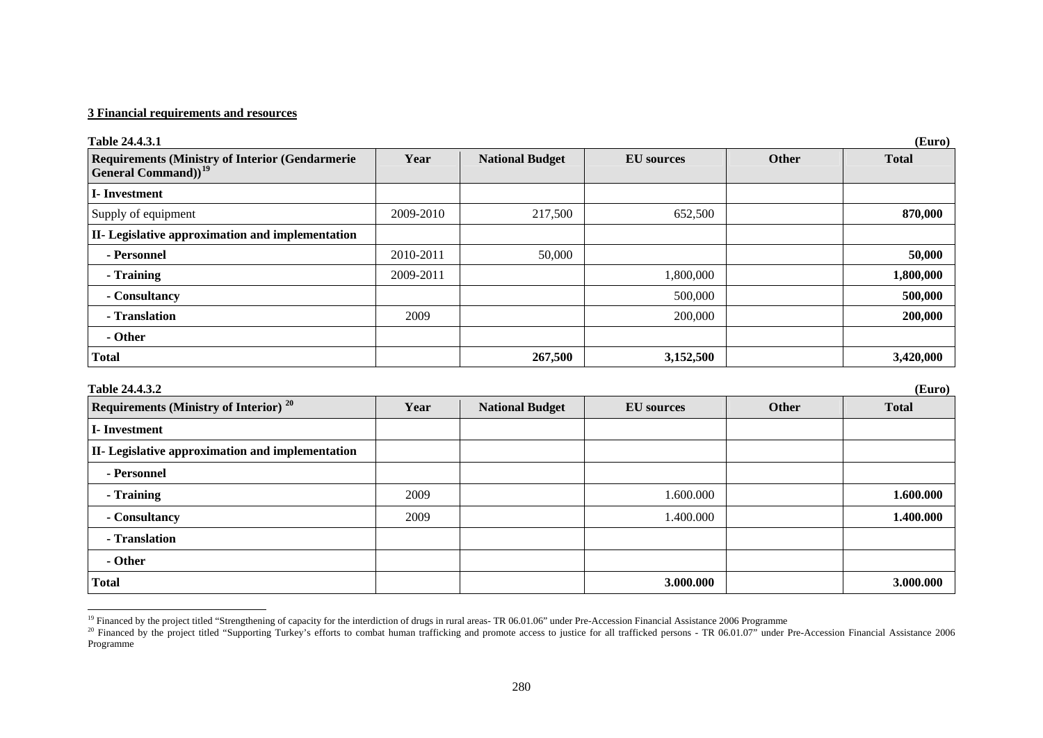| <b>Requirements (Ministry of Interior (Gendarmerie</b><br><b>General Command</b> )) <sup>19</sup> | Year      | <b>National Budget</b> | <b>EU</b> sources | Other | <b>Total</b> |
|---------------------------------------------------------------------------------------------------|-----------|------------------------|-------------------|-------|--------------|
| <b>I</b> -Investment                                                                              |           |                        |                   |       |              |
| Supply of equipment                                                                               | 2009-2010 | 217,500                | 652,500           |       | 870,000      |
| <b>II-</b> Legislative approximation and implementation                                           |           |                        |                   |       |              |
| - Personnel                                                                                       | 2010-2011 | 50,000                 |                   |       | 50,000       |
| - Training                                                                                        | 2009-2011 |                        | 1,800,000         |       | 1,800,000    |
| - Consultancy                                                                                     |           |                        | 500,000           |       | 500,000      |
| - Translation                                                                                     | 2009      |                        | 200,000           |       | 200,000      |
| - Other                                                                                           |           |                        |                   |       |              |
| <b>Total</b>                                                                                      |           | 267,500                | 3,152,500         |       | 3,420,000    |

| Requirements (Ministry of Interior) <sup>20</sup>       | Year | <b>National Budget</b> | <b>EU</b> sources | Other | <b>Total</b> |
|---------------------------------------------------------|------|------------------------|-------------------|-------|--------------|
| <b>I</b> -Investment                                    |      |                        |                   |       |              |
| <b>II-</b> Legislative approximation and implementation |      |                        |                   |       |              |
| - Personnel                                             |      |                        |                   |       |              |
| - Training                                              | 2009 |                        | 1.600.000         |       | 1.600.000    |
| - Consultancy                                           | 2009 |                        | 1.400.000         |       | 1.400.000    |
| - Translation                                           |      |                        |                   |       |              |
| - Other                                                 |      |                        |                   |       |              |
| <b>Total</b>                                            |      |                        | 3.000.000         |       | 3.000.000    |

<sup>&</sup>lt;sup>19</sup> Financed by the project titled "Strengthening of capacity for the interdiction of drugs in rural areas-TR 06.01.06" under Pre-Accession Financial Assistance 2006 Programme

<span id="page-28-1"></span><span id="page-28-0"></span><sup>&</sup>lt;sup>20</sup> Financed by the project titled "Supporting Turkey's efforts to combat human trafficking and promote access to justice for all trafficked persons - TR 06.01.07" under Pre-Accession Financial Assistance 2006 Programme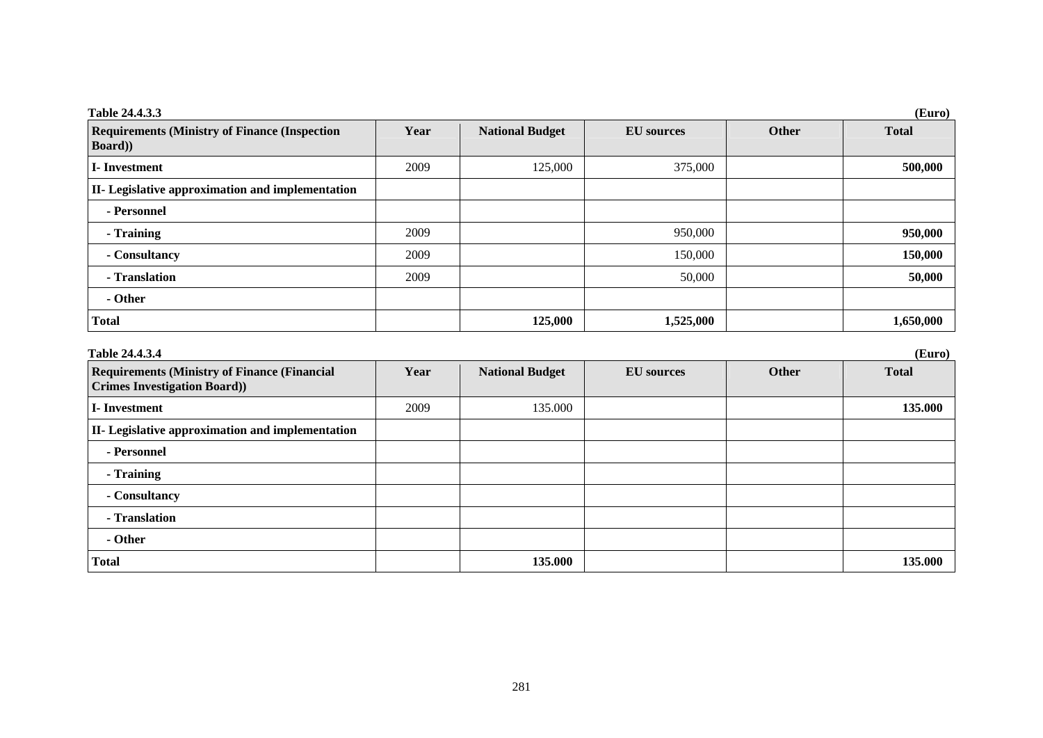| Table 24.4.3.3                                                          | (Euro) |                        |                   |       |              |  |
|-------------------------------------------------------------------------|--------|------------------------|-------------------|-------|--------------|--|
| <b>Requirements (Ministry of Finance (Inspection)</b><br><b>Board</b> ) | Year   | <b>National Budget</b> | <b>EU</b> sources | Other | <b>Total</b> |  |
| I-Investment                                                            | 2009   | 125,000                | 375,000           |       | 500,000      |  |
| II- Legislative approximation and implementation                        |        |                        |                   |       |              |  |
| - Personnel                                                             |        |                        |                   |       |              |  |
| - Training                                                              | 2009   |                        | 950,000           |       | 950,000      |  |
| - Consultancy                                                           | 2009   |                        | 150,000           |       | 150,000      |  |
| - Translation                                                           | 2009   |                        | 50,000            |       | 50,000       |  |
| - Other                                                                 |        |                        |                   |       |              |  |
| <b>Total</b>                                                            |        | 125,000                | 1,525,000         |       | 1,650,000    |  |

| Table 24.4.3.4                                                                            | (Euro) |                        |                   |              |              |  |
|-------------------------------------------------------------------------------------------|--------|------------------------|-------------------|--------------|--------------|--|
| <b>Requirements (Ministry of Finance (Financial</b><br><b>Crimes Investigation Board)</b> | Year   | <b>National Budget</b> | <b>EU</b> sources | <b>Other</b> | <b>Total</b> |  |
| I-Investment                                                                              | 2009   | 135.000                |                   |              | 135.000      |  |
| <b>II-</b> Legislative approximation and implementation                                   |        |                        |                   |              |              |  |
| - Personnel                                                                               |        |                        |                   |              |              |  |
| - Training                                                                                |        |                        |                   |              |              |  |
| - Consultancy                                                                             |        |                        |                   |              |              |  |
| - Translation                                                                             |        |                        |                   |              |              |  |
| - Other                                                                                   |        |                        |                   |              |              |  |
| <b>Total</b>                                                                              |        | 135.000                |                   |              | 135.000      |  |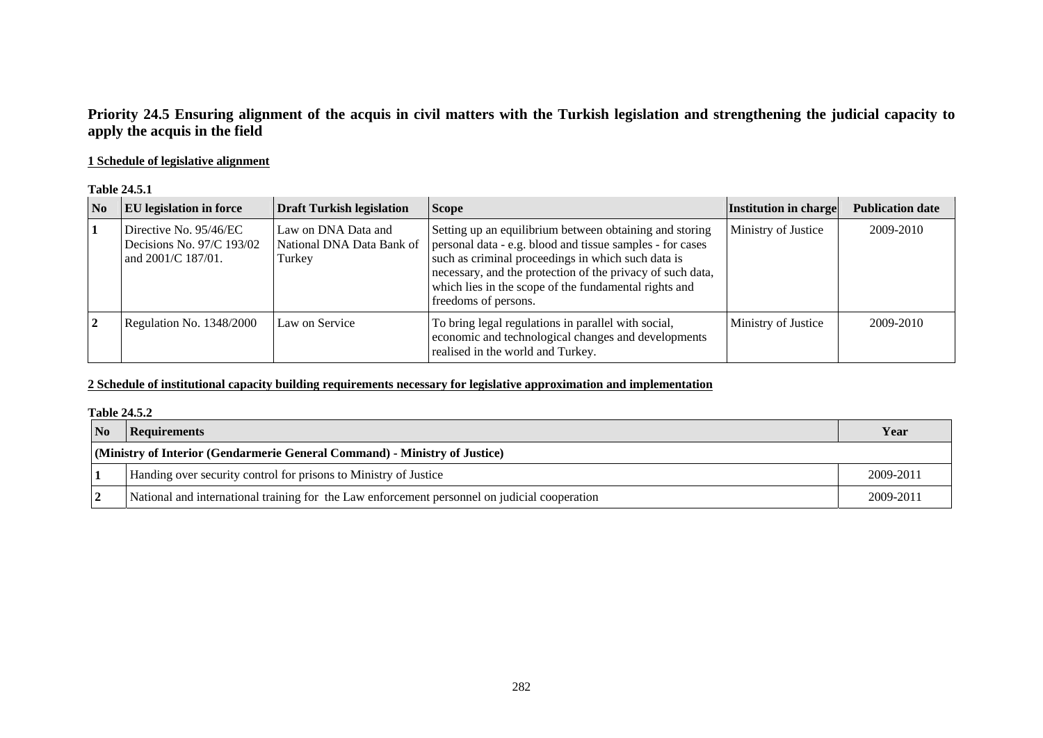# **Priority 24.5 Ensuring alignment of the acquis in civil matters with the Turkish legislation and strengthening the judicial capacity to apply the acquis in the field**

## **1 Schedule of legislative alignment**

#### **Table 24.5.1**

| N <sub>0</sub> | <b>EU</b> legislation in force                                            | <b>Draft Turkish legislation</b>                           | <b>Scope</b>                                                                                                                                                                                                                                                                                                              | Institution in charge | <b>Publication date</b> |
|----------------|---------------------------------------------------------------------------|------------------------------------------------------------|---------------------------------------------------------------------------------------------------------------------------------------------------------------------------------------------------------------------------------------------------------------------------------------------------------------------------|-----------------------|-------------------------|
|                | Directive No. 95/46/EC<br>Decisions No. 97/C 193/02<br>and 2001/C 187/01. | Law on DNA Data and<br>National DNA Data Bank of<br>Turkey | Setting up an equilibrium between obtaining and storing<br>personal data - e.g. blood and tissue samples - for cases<br>such as criminal proceedings in which such data is<br>necessary, and the protection of the privacy of such data,<br>which lies in the scope of the fundamental rights and<br>freedoms of persons. | Ministry of Justice   | 2009-2010               |
| $\mathbf{2}$   | Regulation No. 1348/2000                                                  | Law on Service                                             | To bring legal regulations in parallel with social,<br>economic and technological changes and developments<br>realised in the world and Turkey.                                                                                                                                                                           | Ministry of Justice   | 2009-2010               |

## **2 Schedule of institutional capacity building requirements necessary for legislative approximation and implementation**

#### **Table 24.5.2**

| $\overline{\mathbf{N}}$                                                    | <b>Requirements</b>                                                                           | Year      |
|----------------------------------------------------------------------------|-----------------------------------------------------------------------------------------------|-----------|
| (Ministry of Interior (Gendarmerie General Command) - Ministry of Justice) |                                                                                               |           |
|                                                                            | Handing over security control for prisons to Ministry of Justice                              | 2009-2011 |
|                                                                            | National and international training for the Law enforcement personnel on judicial cooperation | 2009-2011 |